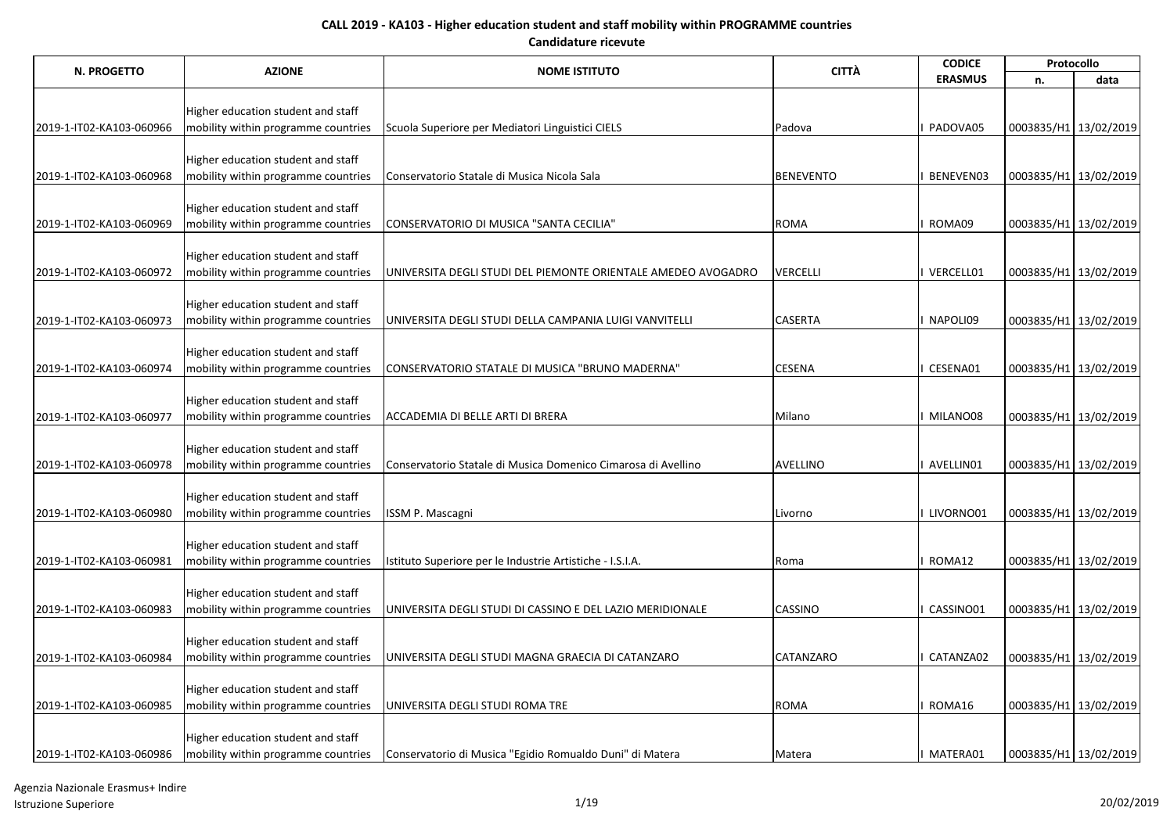| N. PROGETTO              |                                                                           |                                                                | <b>CITTÀ</b>     | <b>CODICE</b>  | Protocollo            |      |
|--------------------------|---------------------------------------------------------------------------|----------------------------------------------------------------|------------------|----------------|-----------------------|------|
|                          | <b>AZIONE</b>                                                             | <b>NOME ISTITUTO</b>                                           |                  | <b>ERASMUS</b> | n.                    | data |
|                          |                                                                           |                                                                |                  |                |                       |      |
|                          | Higher education student and staff                                        |                                                                |                  | PADOVA05       |                       |      |
| 2019-1-IT02-KA103-060966 | mobility within programme countries                                       | Scuola Superiore per Mediatori Linguistici CIELS               | Padova           |                | 0003835/H1 13/02/2019 |      |
|                          | Higher education student and staff                                        |                                                                |                  |                |                       |      |
| 2019-1-IT02-KA103-060968 | mobility within programme countries                                       | Conservatorio Statale di Musica Nicola Sala                    | <b>BENEVENTO</b> | BENEVEN03      | 0003835/H1 13/02/2019 |      |
|                          |                                                                           |                                                                |                  |                |                       |      |
|                          | Higher education student and staff                                        |                                                                |                  |                |                       |      |
| 2019-1-IT02-KA103-060969 | mobility within programme countries                                       | CONSERVATORIO DI MUSICA "SANTA CECILIA"                        | <b>ROMA</b>      | I ROMA09       | 0003835/H1 13/02/2019 |      |
|                          |                                                                           |                                                                |                  |                |                       |      |
| 2019-1-IT02-KA103-060972 | Higher education student and staff<br>mobility within programme countries | JUNIVERSITA DEGLI STUDI DEL PIEMONTE ORIENTALE AMEDEO AVOGADRO | <b>VERCELLI</b>  | I VERCELL01    | 0003835/H1 13/02/2019 |      |
|                          |                                                                           |                                                                |                  |                |                       |      |
|                          | Higher education student and staff                                        |                                                                |                  |                |                       |      |
| 2019-1-IT02-KA103-060973 | mobility within programme countries                                       | UNIVERSITA DEGLI STUDI DELLA CAMPANIA LUIGI VANVITELLI         | <b>CASERTA</b>   | I NAPOLI09     | 0003835/H1 13/02/2019 |      |
|                          |                                                                           |                                                                |                  |                |                       |      |
|                          | Higher education student and staff                                        |                                                                |                  |                |                       |      |
| 2019-1-IT02-KA103-060974 | mobility within programme countries                                       | CONSERVATORIO STATALE DI MUSICA "BRUNO MADERNA"                | <b>CESENA</b>    | CESENA01       | 0003835/H1 13/02/2019 |      |
|                          |                                                                           |                                                                |                  |                |                       |      |
| 2019-1-IT02-KA103-060977 | Higher education student and staff<br>mobility within programme countries | ACCADEMIA DI BELLE ARTI DI BRERA                               | Milano           | I MILANO08     | 0003835/H1 13/02/2019 |      |
|                          |                                                                           |                                                                |                  |                |                       |      |
|                          | Higher education student and staff                                        |                                                                |                  |                |                       |      |
| 2019-1-IT02-KA103-060978 | mobility within programme countries                                       | Conservatorio Statale di Musica Domenico Cimarosa di Avellino  | <b>AVELLINO</b>  | I AVELLIN01    | 0003835/H1 13/02/2019 |      |
|                          |                                                                           |                                                                |                  |                |                       |      |
|                          | Higher education student and staff                                        |                                                                |                  |                |                       |      |
| 2019-1-IT02-KA103-060980 | mobility within programme countries                                       | <b>ISSM P. Mascagni</b>                                        | Livorno          | I LIVORNO01    | 0003835/H1 13/02/2019 |      |
|                          |                                                                           |                                                                |                  |                |                       |      |
| 2019-1-IT02-KA103-060981 | Higher education student and staff<br>mobility within programme countries | Istituto Superiore per le Industrie Artistiche - I.S.I.A.      | Roma             | ROMA12         | 0003835/H1 13/02/2019 |      |
|                          |                                                                           |                                                                |                  |                |                       |      |
|                          | Higher education student and staff                                        |                                                                |                  |                |                       |      |
| 2019-1-IT02-KA103-060983 | mobility within programme countries                                       | UNIVERSITA DEGLI STUDI DI CASSINO E DEL LAZIO MERIDIONALE      | <b>CASSINO</b>   | CASSINO01      | 0003835/H1 13/02/2019 |      |
|                          |                                                                           |                                                                |                  |                |                       |      |
|                          | Higher education student and staff                                        |                                                                |                  |                |                       |      |
| 2019-1-IT02-KA103-060984 | mobility within programme countries                                       | UNIVERSITA DEGLI STUDI MAGNA GRAECIA DI CATANZARO              | <b>CATANZARO</b> | CATANZA02      | 0003835/H1 13/02/2019 |      |
|                          |                                                                           |                                                                |                  |                |                       |      |
| 2019-1-IT02-KA103-060985 | Higher education student and staff<br>mobility within programme countries | UNIVERSITA DEGLI STUDI ROMA TRE                                | <b>ROMA</b>      | ROMA16         | 0003835/H1 13/02/2019 |      |
|                          |                                                                           |                                                                |                  |                |                       |      |
|                          | Higher education student and staff                                        |                                                                |                  |                |                       |      |
| 2019-1-IT02-KA103-060986 | mobility within programme countries                                       | Conservatorio di Musica "Egidio Romualdo Duni" di Matera       | Matera           | MATERA01       | 0003835/H1 13/02/2019 |      |

Agenzia Nazionale Erasmus+ Indire Istruzione Superiore 1/19 20/02/2019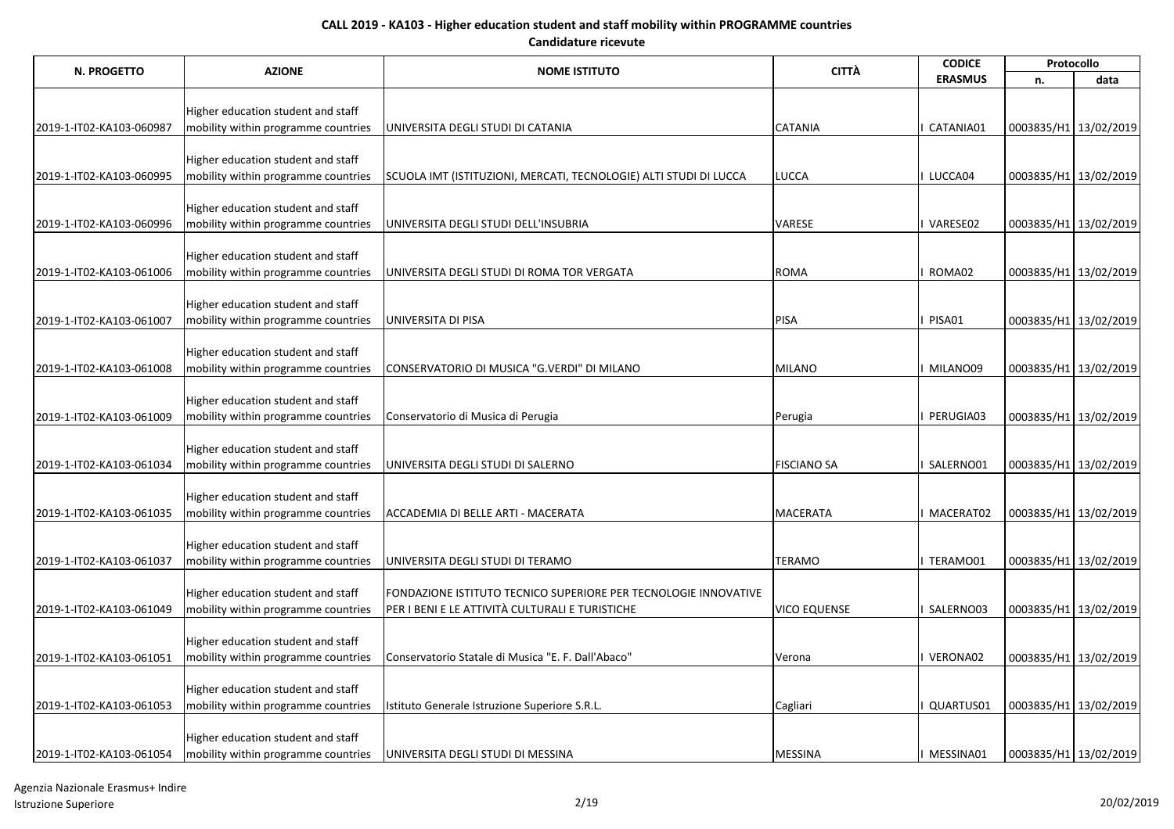| N. PROGETTO              |                                     |                                                                   | <b>CITTÀ</b>        | <b>CODICE</b>  | Protocollo            |      |
|--------------------------|-------------------------------------|-------------------------------------------------------------------|---------------------|----------------|-----------------------|------|
|                          | <b>AZIONE</b>                       | <b>NOME ISTITUTO</b>                                              |                     | <b>ERASMUS</b> | n.                    | data |
|                          |                                     |                                                                   |                     |                |                       |      |
|                          | Higher education student and staff  |                                                                   |                     |                |                       |      |
| 2019-1-IT02-KA103-060987 | mobility within programme countries | UNIVERSITA DEGLI STUDI DI CATANIA                                 | <b>CATANIA</b>      | CATANIA01      | 0003835/H1 13/02/2019 |      |
|                          |                                     |                                                                   |                     |                |                       |      |
|                          | Higher education student and staff  |                                                                   | LUCCA               | LUCCA04        |                       |      |
| 2019-1-IT02-KA103-060995 | mobility within programme countries | SCUOLA IMT (ISTITUZIONI, MERCATI, TECNOLOGIE) ALTI STUDI DI LUCCA |                     |                | 0003835/H1 13/02/2019 |      |
|                          | Higher education student and staff  |                                                                   |                     |                |                       |      |
| 2019-1-IT02-KA103-060996 | mobility within programme countries | UNIVERSITA DEGLI STUDI DELL'INSUBRIA                              | <b>VARESE</b>       | VARESE02       | 0003835/H1 13/02/2019 |      |
|                          |                                     |                                                                   |                     |                |                       |      |
|                          | Higher education student and staff  |                                                                   |                     |                |                       |      |
| 2019-1-IT02-KA103-061006 | mobility within programme countries | UNIVERSITA DEGLI STUDI DI ROMA TOR VERGATA                        | <b>ROMA</b>         | ROMA02         | 0003835/H1 13/02/2019 |      |
|                          |                                     |                                                                   |                     |                |                       |      |
|                          | Higher education student and staff  |                                                                   |                     |                |                       |      |
| 2019-1-IT02-KA103-061007 | mobility within programme countries | UNIVERSITA DI PISA                                                | <b>PISA</b>         | PISA01         | 0003835/H1 13/02/2019 |      |
|                          |                                     |                                                                   |                     |                |                       |      |
|                          | Higher education student and staff  |                                                                   |                     |                |                       |      |
| 2019-1-IT02-KA103-061008 | mobility within programme countries | CONSERVATORIO DI MUSICA "G.VERDI" DI MILANO                       | <b>MILANO</b>       | MILANO09       | 0003835/H1 13/02/2019 |      |
|                          | Higher education student and staff  |                                                                   |                     |                |                       |      |
| 2019-1-IT02-KA103-061009 | mobility within programme countries | Conservatorio di Musica di Perugia                                | Perugia             | PERUGIA03      | 0003835/H1 13/02/2019 |      |
|                          |                                     |                                                                   |                     |                |                       |      |
|                          | Higher education student and staff  |                                                                   |                     |                |                       |      |
| 2019-1-IT02-KA103-061034 | mobility within programme countries | UNIVERSITA DEGLI STUDI DI SALERNO                                 | <b>FISCIANO SA</b>  | SALERNO01      | 0003835/H1 13/02/2019 |      |
|                          |                                     |                                                                   |                     |                |                       |      |
|                          | Higher education student and staff  |                                                                   |                     |                |                       |      |
| 2019-1-IT02-KA103-061035 | mobility within programme countries | ACCADEMIA DI BELLE ARTI - MACERATA                                | <b>MACERATA</b>     | MACERAT02      | 0003835/H1 13/02/2019 |      |
|                          |                                     |                                                                   |                     |                |                       |      |
|                          | Higher education student and staff  |                                                                   |                     |                |                       |      |
| 2019-1-IT02-KA103-061037 | mobility within programme countries | UNIVERSITA DEGLI STUDI DI TERAMO                                  | <b>TERAMO</b>       | TERAMO01       | 0003835/H1 13/02/2019 |      |
|                          | Higher education student and staff  | FONDAZIONE ISTITUTO TECNICO SUPERIORE PER TECNOLOGIE INNOVATIVE   |                     |                |                       |      |
| 2019-1-IT02-KA103-061049 | mobility within programme countries | PER I BENI E LE ATTIVITÀ CULTURALI E TURISTICHE                   | <b>VICO EQUENSE</b> | SALERNO03      | 0003835/H1 13/02/2019 |      |
|                          |                                     |                                                                   |                     |                |                       |      |
|                          | Higher education student and staff  |                                                                   |                     |                |                       |      |
| 2019-1-IT02-KA103-061051 | mobility within programme countries | Conservatorio Statale di Musica "E. F. Dall'Abaco"                | Verona              | VERONA02       | 0003835/H1 13/02/2019 |      |
|                          |                                     |                                                                   |                     |                |                       |      |
|                          | Higher education student and staff  |                                                                   |                     |                |                       |      |
| 2019-1-IT02-KA103-061053 | mobility within programme countries | Istituto Generale Istruzione Superiore S.R.L.                     | Cagliari            | QUARTUS01      | 0003835/H1 13/02/2019 |      |
|                          |                                     |                                                                   |                     |                |                       |      |
|                          | Higher education student and staff  |                                                                   |                     |                |                       |      |
| 2019-1-IT02-KA103-061054 | mobility within programme countries | UNIVERSITA DEGLI STUDI DI MESSINA                                 | <b>MESSINA</b>      | MESSINA01      | 0003835/H1 13/02/2019 |      |

Agenzia Nazionale Erasmus+ Indire Istruzione Superiore 2/19 20/02/2019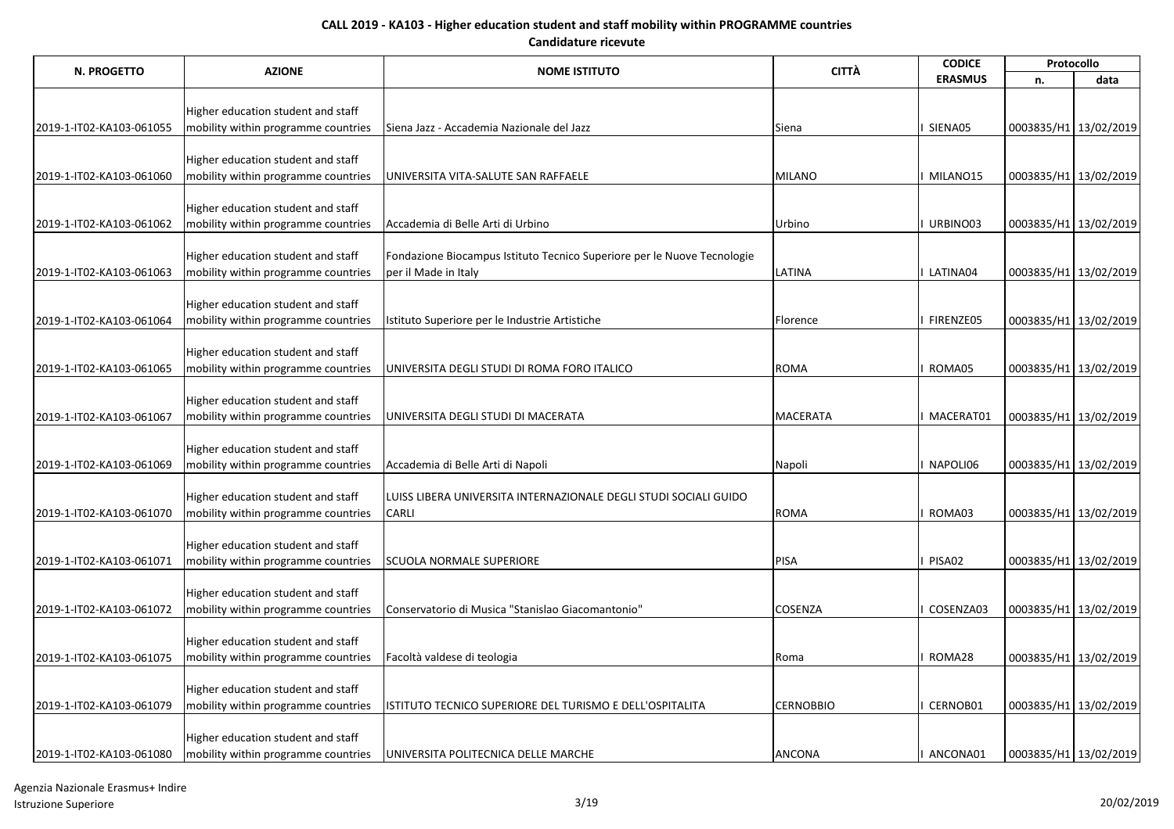| N. PROGETTO              | <b>AZIONE</b>                                                             | <b>NOME ISTITUTO</b>                                                                            | <b>CITTÀ</b>     | <b>CODICE</b>  |                       | Protocollo            |
|--------------------------|---------------------------------------------------------------------------|-------------------------------------------------------------------------------------------------|------------------|----------------|-----------------------|-----------------------|
|                          |                                                                           |                                                                                                 |                  | <b>ERASMUS</b> | n.                    | data                  |
|                          |                                                                           |                                                                                                 |                  |                |                       |                       |
|                          | Higher education student and staff                                        |                                                                                                 |                  | SIENA05        |                       |                       |
| 2019-1-IT02-KA103-061055 | mobility within programme countries                                       | Siena Jazz - Accademia Nazionale del Jazz                                                       | Siena            |                |                       | 0003835/H1 13/02/2019 |
|                          | Higher education student and staff                                        |                                                                                                 |                  |                |                       |                       |
| 2019-1-IT02-KA103-061060 | mobility within programme countries                                       | UNIVERSITA VITA-SALUTE SAN RAFFAELE                                                             | <b>MILANO</b>    | MILANO15       | 0003835/H1 13/02/2019 |                       |
|                          |                                                                           |                                                                                                 |                  |                |                       |                       |
|                          | Higher education student and staff                                        |                                                                                                 |                  |                |                       |                       |
| 2019-1-IT02-KA103-061062 | mobility within programme countries                                       | Accademia di Belle Arti di Urbino                                                               | Urbino           | URBINO03       |                       | 0003835/H1 13/02/2019 |
|                          |                                                                           |                                                                                                 |                  |                |                       |                       |
| 2019-1-IT02-KA103-061063 | Higher education student and staff<br>mobility within programme countries | Fondazione Biocampus Istituto Tecnico Superiore per le Nuove Tecnologie<br>per il Made in Italy | <b>LATINA</b>    | LATINA04       |                       | 0003835/H1 13/02/2019 |
|                          |                                                                           |                                                                                                 |                  |                |                       |                       |
|                          | Higher education student and staff                                        |                                                                                                 |                  |                |                       |                       |
| 2019-1-IT02-KA103-061064 | mobility within programme countries                                       | Istituto Superiore per le Industrie Artistiche                                                  | Florence         | FIRENZE05      | 0003835/H1 13/02/2019 |                       |
|                          |                                                                           |                                                                                                 |                  |                |                       |                       |
|                          | Higher education student and staff                                        |                                                                                                 |                  |                |                       |                       |
| 2019-1-IT02-KA103-061065 | mobility within programme countries                                       | UNIVERSITA DEGLI STUDI DI ROMA FORO ITALICO                                                     | <b>ROMA</b>      | ROMA05         |                       | 0003835/H1 13/02/2019 |
|                          |                                                                           |                                                                                                 |                  |                |                       |                       |
| 2019-1-IT02-KA103-061067 | Higher education student and staff<br>mobility within programme countries | UNIVERSITA DEGLI STUDI DI MACERATA                                                              | <b>MACERATA</b>  | MACERAT01      | 0003835/H1 13/02/2019 |                       |
|                          |                                                                           |                                                                                                 |                  |                |                       |                       |
|                          | Higher education student and staff                                        |                                                                                                 |                  |                |                       |                       |
| 2019-1-IT02-KA103-061069 | mobility within programme countries                                       | Accademia di Belle Arti di Napoli                                                               | Napoli           | NAPOLI06       |                       | 0003835/H1 13/02/2019 |
|                          |                                                                           |                                                                                                 |                  |                |                       |                       |
|                          | Higher education student and staff                                        | LUISS LIBERA UNIVERSITA INTERNAZIONALE DEGLI STUDI SOCIALI GUIDO                                |                  |                |                       |                       |
| 2019-1-IT02-KA103-061070 | mobility within programme countries                                       | <b>CARLI</b>                                                                                    | <b>ROMA</b>      | ROMA03         |                       | 0003835/H1 13/02/2019 |
|                          |                                                                           |                                                                                                 |                  |                |                       |                       |
| 2019-1-IT02-KA103-061071 | Higher education student and staff<br>mobility within programme countries | <b>SCUOLA NORMALE SUPERIORE</b>                                                                 | PISA             | PISA02         |                       | 0003835/H1 13/02/2019 |
|                          |                                                                           |                                                                                                 |                  |                |                       |                       |
|                          | Higher education student and staff                                        |                                                                                                 |                  |                |                       |                       |
| 2019-1-IT02-KA103-061072 | mobility within programme countries                                       | Conservatorio di Musica "Stanislao Giacomantonio"                                               | <b>COSENZA</b>   | COSENZA03      | 0003835/H1 13/02/2019 |                       |
|                          |                                                                           |                                                                                                 |                  |                |                       |                       |
|                          | Higher education student and staff                                        |                                                                                                 |                  |                |                       |                       |
| 2019-1-IT02-KA103-061075 | mobility within programme countries                                       | Facoltà valdese di teologia                                                                     | Roma             | ROMA28         | 0003835/H1 13/02/2019 |                       |
|                          |                                                                           |                                                                                                 |                  |                |                       |                       |
|                          | Higher education student and staff                                        |                                                                                                 | <b>CERNOBBIO</b> | CERNOB01       | 0003835/H1 13/02/2019 |                       |
| 2019-1-IT02-KA103-061079 | mobility within programme countries                                       | ISTITUTO TECNICO SUPERIORE DEL TURISMO E DELL'OSPITALITA                                        |                  |                |                       |                       |
|                          | Higher education student and staff                                        |                                                                                                 |                  |                |                       |                       |
| 2019-1-IT02-KA103-061080 | mobility within programme countries                                       | UNIVERSITA POLITECNICA DELLE MARCHE                                                             | <b>ANCONA</b>    | ANCONA01       |                       | 0003835/H1 13/02/2019 |

Agenzia Nazionale Erasmus+ Indire Istruzione Superiore 3/19 20/02/2019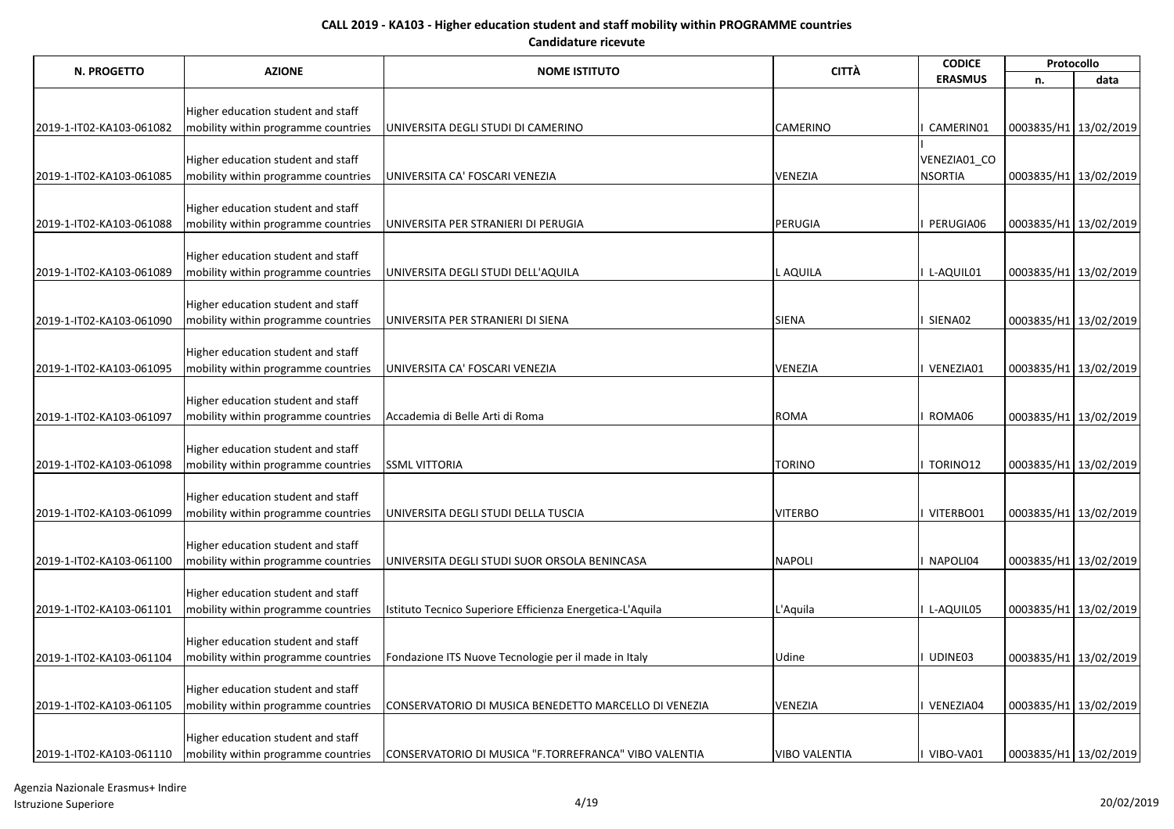| <b>CITTÀ</b><br><b>AZIONE</b><br>N. PROGETTO<br><b>NOME ISTITUTO</b><br><b>ERASMUS</b><br>n.<br>Higher education student and staff<br><b>CAMERINO</b><br>CAMERIN01<br>mobility within programme countries<br>UNIVERSITA DEGLI STUDI DI CAMERINO<br>2019-1-IT02-KA103-061082 | 0003835/H1 13/02/2019 | data                  |
|-----------------------------------------------------------------------------------------------------------------------------------------------------------------------------------------------------------------------------------------------------------------------------|-----------------------|-----------------------|
|                                                                                                                                                                                                                                                                             |                       |                       |
|                                                                                                                                                                                                                                                                             |                       |                       |
|                                                                                                                                                                                                                                                                             |                       |                       |
|                                                                                                                                                                                                                                                                             |                       |                       |
| Higher education student and staff<br>VENEZIA01_CO                                                                                                                                                                                                                          |                       |                       |
| <b>VENEZIA</b><br><b>NSORTIA</b><br>2019-1-IT02-KA103-061085<br>mobility within programme countries<br>UNIVERSITA CA' FOSCARI VENEZIA                                                                                                                                       |                       | 0003835/H1 13/02/2019 |
|                                                                                                                                                                                                                                                                             |                       |                       |
| Higher education student and staff                                                                                                                                                                                                                                          |                       |                       |
| PERUGIA<br>2019-1-IT02-KA103-061088<br>mobility within programme countries<br>PERUGIA06<br>UNIVERSITA PER STRANIERI DI PERUGIA                                                                                                                                              |                       | 0003835/H1 13/02/2019 |
|                                                                                                                                                                                                                                                                             |                       |                       |
| Higher education student and staff                                                                                                                                                                                                                                          |                       |                       |
| L AQUILA<br>L-AQUIL01<br>mobility within programme countries<br>UNIVERSITA DEGLI STUDI DELL'AQUILA<br>2019-1-IT02-KA103-061089                                                                                                                                              |                       | 0003835/H1 13/02/2019 |
|                                                                                                                                                                                                                                                                             |                       |                       |
| Higher education student and staff<br><b>SIENA</b><br>SIENA02                                                                                                                                                                                                               |                       |                       |
| mobility within programme countries<br>UNIVERSITA PER STRANIERI DI SIENA<br>2019-1-IT02-KA103-061090                                                                                                                                                                        |                       | 0003835/H1 13/02/2019 |
| Higher education student and staff                                                                                                                                                                                                                                          |                       |                       |
| mobility within programme countries<br>VENEZIA<br>VENEZIA01<br>2019-1-IT02-KA103-061095<br>UNIVERSITA CA' FOSCARI VENEZIA                                                                                                                                                   |                       | 0003835/H1 13/02/2019 |
|                                                                                                                                                                                                                                                                             |                       |                       |
| Higher education student and staff                                                                                                                                                                                                                                          |                       |                       |
| Accademia di Belle Arti di Roma<br><b>ROMA</b><br>ROMA06<br>2019-1-IT02-KA103-061097<br>mobility within programme countries                                                                                                                                                 |                       | 0003835/H1 13/02/2019 |
|                                                                                                                                                                                                                                                                             |                       |                       |
| Higher education student and staff                                                                                                                                                                                                                                          |                       |                       |
| mobility within programme countries<br><b>SSML VITTORIA</b><br><b>TORINO</b><br>TORINO12<br>2019-1-IT02-KA103-061098                                                                                                                                                        |                       | 0003835/H1 13/02/2019 |
|                                                                                                                                                                                                                                                                             |                       |                       |
| Higher education student and staff<br><b>VITERBO</b>                                                                                                                                                                                                                        |                       |                       |
| 2019-1-IT02-KA103-061099<br>mobility within programme countries<br>UNIVERSITA DEGLI STUDI DELLA TUSCIA<br>VITERBO01                                                                                                                                                         |                       | 0003835/H1 13/02/2019 |
| Higher education student and staff                                                                                                                                                                                                                                          |                       |                       |
| <b>NAPOLI</b><br>2019-1-IT02-KA103-061100<br>mobility within programme countries<br>NAPOLI04<br>UNIVERSITA DEGLI STUDI SUOR ORSOLA BENINCASA                                                                                                                                |                       | 0003835/H1 13/02/2019 |
|                                                                                                                                                                                                                                                                             |                       |                       |
| Higher education student and staff                                                                                                                                                                                                                                          |                       |                       |
| mobility within programme countries<br>Istituto Tecnico Superiore Efficienza Energetica-L'Aquila<br>L'Aquila<br>L-AQUIL05<br>2019-1-IT02-KA103-061101                                                                                                                       |                       | 0003835/H1 13/02/2019 |
|                                                                                                                                                                                                                                                                             |                       |                       |
| Higher education student and staff                                                                                                                                                                                                                                          |                       |                       |
| mobility within programme countries<br>Fondazione ITS Nuove Tecnologie per il made in Italy<br>Udine<br>UDINE03<br>2019-1-IT02-KA103-061104                                                                                                                                 |                       | 0003835/H1 13/02/2019 |
|                                                                                                                                                                                                                                                                             |                       |                       |
| Higher education student and staff<br><b>VENEZIA</b><br>mobility within programme countries<br>CONSERVATORIO DI MUSICA BENEDETTO MARCELLO DI VENEZIA<br>VENEZIA04<br>2019-1-IT02-KA103-061105                                                                               |                       | 0003835/H1 13/02/2019 |
|                                                                                                                                                                                                                                                                             |                       |                       |
| Higher education student and staff                                                                                                                                                                                                                                          |                       |                       |
| <b>VIBO VALENTIA</b><br>VIBO-VA01<br>2019-1-IT02-KA103-061110<br>mobility within programme countries<br>CONSERVATORIO DI MUSICA "F.TORREFRANCA" VIBO VALENTIA                                                                                                               |                       | 0003835/H1 13/02/2019 |

Agenzia Nazionale Erasmus+ Indire Istruzione Superiore 4/19 20/02/2019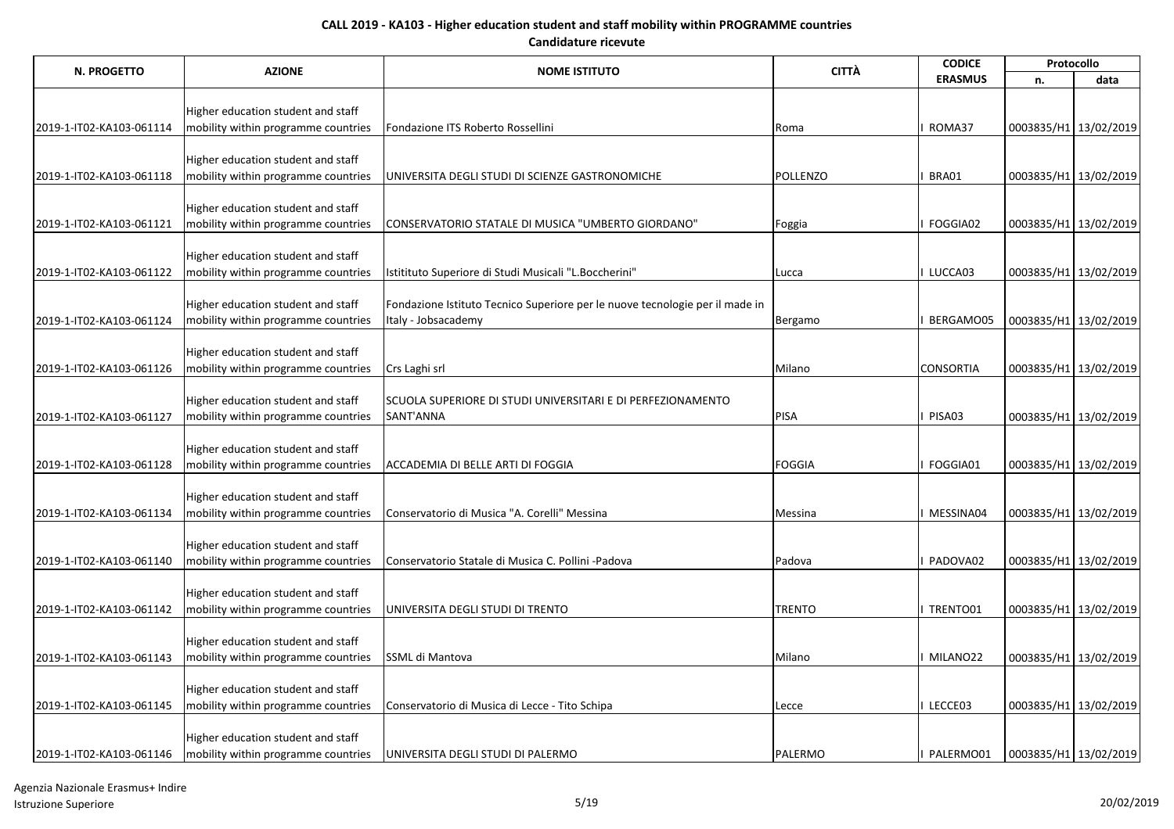| N. PROGETTO              | <b>AZIONE</b>                       |                                                                              | <b>CITTÀ</b>    | <b>CODICE</b>    |                       | Protocollo            |
|--------------------------|-------------------------------------|------------------------------------------------------------------------------|-----------------|------------------|-----------------------|-----------------------|
|                          |                                     | <b>NOME ISTITUTO</b>                                                         |                 | <b>ERASMUS</b>   | n.                    | data                  |
|                          |                                     |                                                                              |                 |                  |                       |                       |
|                          | Higher education student and staff  |                                                                              |                 |                  |                       |                       |
| 2019-1-IT02-KA103-061114 | mobility within programme countries | Fondazione ITS Roberto Rossellini                                            | Roma            | ROMA37           | 0003835/H1 13/02/2019 |                       |
|                          | Higher education student and staff  |                                                                              |                 |                  |                       |                       |
| 2019-1-IT02-KA103-061118 | mobility within programme countries | UNIVERSITA DEGLI STUDI DI SCIENZE GASTRONOMICHE                              | <b>POLLENZO</b> | BRA01            | 0003835/H1 13/02/2019 |                       |
|                          |                                     |                                                                              |                 |                  |                       |                       |
|                          | Higher education student and staff  |                                                                              |                 |                  |                       |                       |
| 2019-1-IT02-KA103-061121 | mobility within programme countries | CONSERVATORIO STATALE DI MUSICA "UMBERTO GIORDANO"                           | Foggia          | <b>FOGGIA02</b>  | 0003835/H1 13/02/2019 |                       |
|                          |                                     |                                                                              |                 |                  |                       |                       |
|                          | Higher education student and staff  |                                                                              |                 |                  |                       |                       |
| 2019-1-IT02-KA103-061122 | mobility within programme countries | Istitituto Superiore di Studi Musicali "L.Boccherini"                        | <b>Lucca</b>    | LUCCA03          |                       | 0003835/H1 13/02/2019 |
|                          |                                     |                                                                              |                 |                  |                       |                       |
|                          | Higher education student and staff  | Fondazione Istituto Tecnico Superiore per le nuove tecnologie per il made in |                 |                  |                       |                       |
| 2019-1-IT02-KA103-061124 | mobility within programme countries | Italy - Jobsacademy                                                          | Bergamo         | BERGAMO05        |                       | 0003835/H1 13/02/2019 |
|                          | Higher education student and staff  |                                                                              |                 |                  |                       |                       |
| 2019-1-IT02-KA103-061126 | mobility within programme countries | Crs Laghi srl                                                                | Milano          | <b>CONSORTIA</b> | 0003835/H1 13/02/2019 |                       |
|                          |                                     |                                                                              |                 |                  |                       |                       |
|                          | Higher education student and staff  | SCUOLA SUPERIORE DI STUDI UNIVERSITARI E DI PERFEZIONAMENTO                  |                 |                  |                       |                       |
| 2019-1-IT02-KA103-061127 | mobility within programme countries | SANT'ANNA                                                                    | PISA            | PISA03           | 0003835/H1 13/02/2019 |                       |
|                          |                                     |                                                                              |                 |                  |                       |                       |
|                          | Higher education student and staff  |                                                                              |                 |                  |                       |                       |
| 2019-1-IT02-KA103-061128 | mobility within programme countries | ACCADEMIA DI BELLE ARTI DI FOGGIA                                            | FOGGIA          | FOGGIA01         | 0003835/H1 13/02/2019 |                       |
|                          |                                     |                                                                              |                 |                  |                       |                       |
| 2019-1-IT02-KA103-061134 | Higher education student and staff  | Conservatorio di Musica "A. Corelli" Messina                                 |                 | MESSINA04        | 0003835/H1 13/02/2019 |                       |
|                          | mobility within programme countries |                                                                              | Messina         |                  |                       |                       |
|                          | Higher education student and staff  |                                                                              |                 |                  |                       |                       |
| 2019-1-IT02-KA103-061140 | mobility within programme countries | Conservatorio Statale di Musica C. Pollini -Padova                           | Padova          | PADOVA02         |                       | 0003835/H1 13/02/2019 |
|                          |                                     |                                                                              |                 |                  |                       |                       |
|                          | Higher education student and staff  |                                                                              |                 |                  |                       |                       |
| 2019-1-IT02-KA103-061142 | mobility within programme countries | UNIVERSITA DEGLI STUDI DI TRENTO                                             | <b>TRENTO</b>   | I TRENTO01       | 0003835/H1 13/02/2019 |                       |
|                          |                                     |                                                                              |                 |                  |                       |                       |
|                          | Higher education student and staff  |                                                                              |                 |                  |                       |                       |
| 2019-1-IT02-KA103-061143 | mobility within programme countries | SSML di Mantova                                                              | Milano          | I MILANO22       |                       | 0003835/H1 13/02/2019 |
|                          |                                     |                                                                              |                 |                  |                       |                       |
|                          | Higher education student and staff  |                                                                              |                 |                  |                       |                       |
| 2019-1-IT02-KA103-061145 | mobility within programme countries | Conservatorio di Musica di Lecce - Tito Schipa                               | Lecce           | LECCE03          | 0003835/H1 13/02/2019 |                       |
|                          | Higher education student and staff  |                                                                              |                 |                  |                       |                       |
| 2019-1-IT02-KA103-061146 | mobility within programme countries | UNIVERSITA DEGLI STUDI DI PALERMO                                            | PALERMO         | PALERMO01        |                       | 0003835/H1 13/02/2019 |

Agenzia Nazionale Erasmus+ Indire Istruzione Superiore 5/19 20/02/2019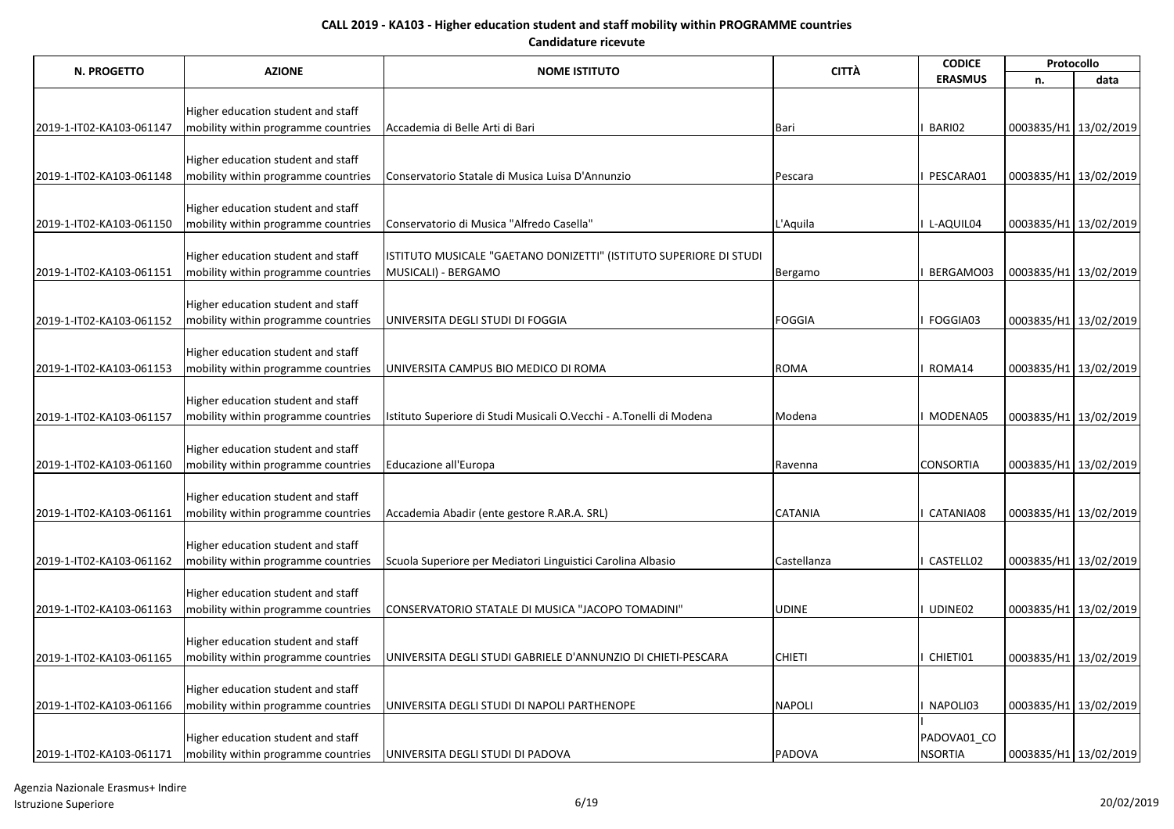| N. PROGETTO              |                                                                           |                                                                     | <b>CITTÀ</b>   | <b>CODICE</b>    |                         | Protocollo |
|--------------------------|---------------------------------------------------------------------------|---------------------------------------------------------------------|----------------|------------------|-------------------------|------------|
|                          | <b>AZIONE</b>                                                             | <b>NOME ISTITUTO</b>                                                |                | <b>ERASMUS</b>   | n.                      | data       |
|                          |                                                                           |                                                                     |                |                  |                         |            |
|                          | Higher education student and staff                                        |                                                                     |                |                  |                         |            |
| 2019-1-IT02-KA103-061147 | mobility within programme countries                                       | Accademia di Belle Arti di Bari                                     | <b>Bari</b>    | BARI02           | 0003835/H1 13/02/2019   |            |
|                          | Higher education student and staff                                        |                                                                     |                |                  |                         |            |
| 2019-1-IT02-KA103-061148 | mobility within programme countries                                       | Conservatorio Statale di Musica Luisa D'Annunzio                    | Pescara        | PESCARA01        | 0003835/H1 13/02/2019   |            |
|                          |                                                                           |                                                                     |                |                  |                         |            |
|                          | Higher education student and staff                                        |                                                                     |                |                  |                         |            |
| 2019-1-IT02-KA103-061150 | mobility within programme countries                                       | Conservatorio di Musica "Alfredo Casella"                           | L'Aquila       | L-AQUIL04        | 0003835/H1 13/02/2019   |            |
|                          |                                                                           |                                                                     |                |                  |                         |            |
|                          | Higher education student and staff                                        | ISTITUTO MUSICALE "GAETANO DONIZETTI" (ISTITUTO SUPERIORE DI STUDI  |                |                  |                         |            |
| 2019-1-IT02-KA103-061151 | mobility within programme countries                                       | MUSICALI) - BERGAMO                                                 | Bergamo        | BERGAMO03        | 0003835/H1 13/02/2019   |            |
|                          |                                                                           |                                                                     |                |                  |                         |            |
|                          | Higher education student and staff                                        | UNIVERSITA DEGLI STUDI DI FOGGIA                                    | <b>FOGGIA</b>  | FOGGIA03         |                         |            |
| 2019-1-IT02-KA103-061152 | mobility within programme countries                                       |                                                                     |                |                  | 0003835/H1 13/02/2019   |            |
|                          | Higher education student and staff                                        |                                                                     |                |                  |                         |            |
| 2019-1-IT02-KA103-061153 | mobility within programme countries                                       | UNIVERSITA CAMPUS BIO MEDICO DI ROMA                                | <b>ROMA</b>    | ROMA14           | 0003835/H1 13/02/2019   |            |
|                          |                                                                           |                                                                     |                |                  |                         |            |
|                          | Higher education student and staff                                        |                                                                     |                |                  |                         |            |
| 2019-1-IT02-KA103-061157 | mobility within programme countries                                       | Istituto Superiore di Studi Musicali O.Vecchi - A.Tonelli di Modena | Modena         | MODENA05         | 0003835/H1 13/02/2019   |            |
|                          |                                                                           |                                                                     |                |                  |                         |            |
|                          | Higher education student and staff                                        |                                                                     |                |                  |                         |            |
| 2019-1-IT02-KA103-061160 | mobility within programme countries                                       | Educazione all'Europa                                               | Ravenna        | <b>CONSORTIA</b> | 0003835/H1 13/02/2019   |            |
|                          | Higher education student and staff                                        |                                                                     |                |                  |                         |            |
| 2019-1-IT02-KA103-061161 | mobility within programme countries                                       | Accademia Abadir (ente gestore R.AR.A. SRL)                         | <b>CATANIA</b> | CATANIA08        | 0003835/H1 13/02/2019   |            |
|                          |                                                                           |                                                                     |                |                  |                         |            |
|                          | Higher education student and staff                                        |                                                                     |                |                  |                         |            |
| 2019-1-IT02-KA103-061162 | mobility within programme countries                                       | Scuola Superiore per Mediatori Linguistici Carolina Albasio         | Castellanza    | CASTELL02        | 0003835/H1 13/02/2019   |            |
|                          |                                                                           |                                                                     |                |                  |                         |            |
|                          | Higher education student and staff                                        |                                                                     |                |                  |                         |            |
| 2019-1-IT02-KA103-061163 | mobility within programme countries                                       | CONSERVATORIO STATALE DI MUSICA "JACOPO TOMADINI"                   | <b>UDINE</b>   | UDINE02          | 0003835/H1 13/02/2019   |            |
|                          |                                                                           |                                                                     |                |                  |                         |            |
| 2019-1-IT02-KA103-061165 | Higher education student and staff<br>mobility within programme countries |                                                                     | <b>CHIETI</b>  | CHIETI01         |                         |            |
|                          |                                                                           | UNIVERSITA DEGLI STUDI GABRIELE D'ANNUNZIO DI CHIETI-PESCARA        |                |                  | 0003835/H1 13/02/2019   |            |
|                          | Higher education student and staff                                        |                                                                     |                |                  |                         |            |
| 2019-1-IT02-KA103-061166 | mobility within programme countries                                       | UNIVERSITA DEGLI STUDI DI NAPOLI PARTHENOPE                         | <b>NAPOLI</b>  | NAPOLI03         | 0003835/H1 13/02/2019   |            |
|                          |                                                                           |                                                                     |                |                  |                         |            |
|                          | Higher education student and staff                                        |                                                                     |                | PADOVA01 CO      |                         |            |
| 2019-1-IT02-KA103-061171 | mobility within programme countries                                       | UNIVERSITA DEGLI STUDI DI PADOVA                                    | <b>PADOVA</b>  | <b>NSORTIA</b>   | 0003835/H1   13/02/2019 |            |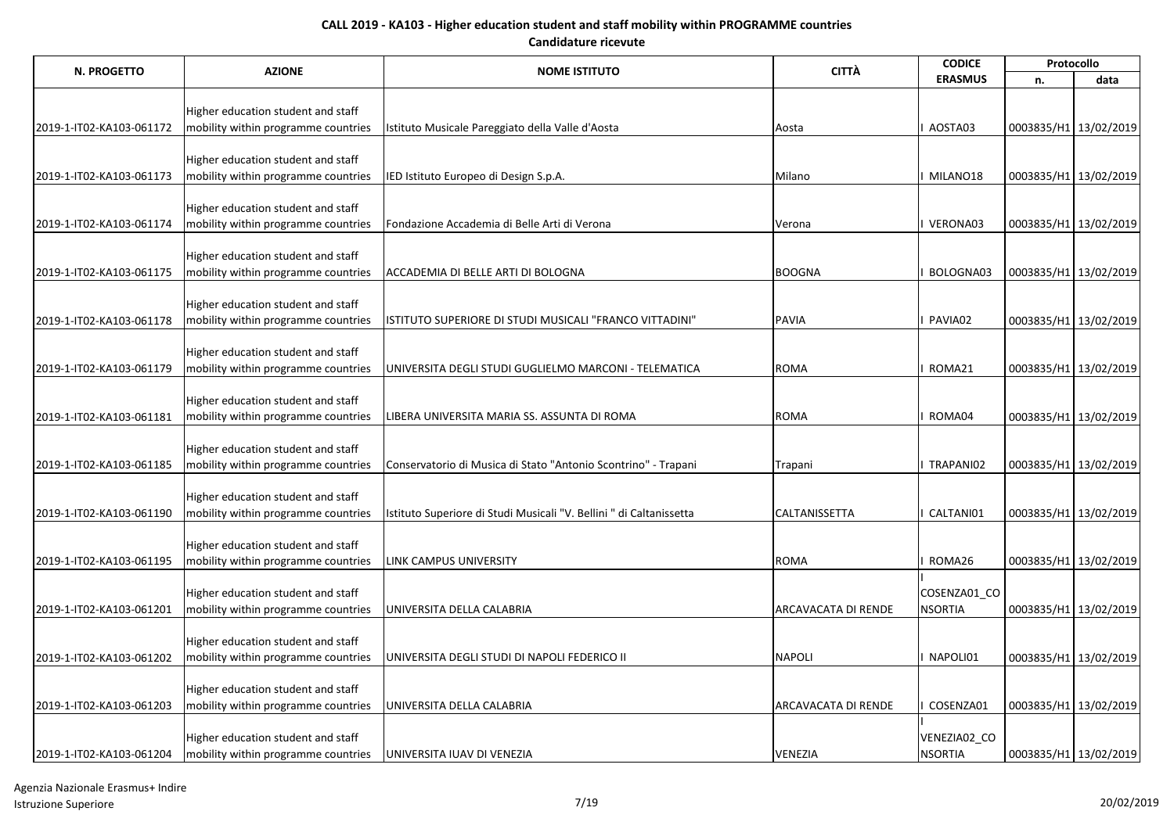| N. PROGETTO              |                                     |                                                                     | <b>CITTÀ</b>               | <b>CODICE</b>  |                       | Protocollo            |
|--------------------------|-------------------------------------|---------------------------------------------------------------------|----------------------------|----------------|-----------------------|-----------------------|
|                          | <b>AZIONE</b>                       | <b>NOME ISTITUTO</b>                                                |                            | <b>ERASMUS</b> | n.                    | data                  |
|                          |                                     |                                                                     |                            |                |                       |                       |
|                          | Higher education student and staff  |                                                                     |                            | AOSTA03        |                       |                       |
| 2019-1-IT02-KA103-061172 | mobility within programme countries | Istituto Musicale Pareggiato della Valle d'Aosta                    | Aosta                      |                | 0003835/H1 13/02/2019 |                       |
|                          | Higher education student and staff  |                                                                     |                            |                |                       |                       |
| 2019-1-IT02-KA103-061173 | mobility within programme countries | IED Istituto Europeo di Design S.p.A.                               | Milano                     | I MILANO18     | 0003835/H1 13/02/2019 |                       |
|                          |                                     |                                                                     |                            |                |                       |                       |
|                          | Higher education student and staff  |                                                                     |                            |                |                       |                       |
| 2019-1-IT02-KA103-061174 | mobility within programme countries | Fondazione Accademia di Belle Arti di Verona                        | Verona                     | I VERONA03     | 0003835/H1 13/02/2019 |                       |
|                          |                                     |                                                                     |                            |                |                       |                       |
|                          | Higher education student and staff  |                                                                     |                            |                |                       |                       |
| 2019-1-IT02-KA103-061175 | mobility within programme countries | ACCADEMIA DI BELLE ARTI DI BOLOGNA                                  | <b>BOOGNA</b>              | BOLOGNA03      | 0003835/H1 13/02/2019 |                       |
|                          |                                     |                                                                     |                            |                |                       |                       |
|                          | Higher education student and staff  |                                                                     | PAVIA                      | <b>PAVIA02</b> |                       |                       |
| 2019-1-IT02-KA103-061178 | mobility within programme countries | ISTITUTO SUPERIORE DI STUDI MUSICALI "FRANCO VITTADINI"             |                            |                | 0003835/H1 13/02/2019 |                       |
|                          | Higher education student and staff  |                                                                     |                            |                |                       |                       |
| 2019-1-IT02-KA103-061179 | mobility within programme countries | JUNIVERSITA DEGLI STUDI GUGLIELMO MARCONI - TELEMATICA              | <b>ROMA</b>                | ROMA21         | 0003835/H1 13/02/2019 |                       |
|                          |                                     |                                                                     |                            |                |                       |                       |
|                          | Higher education student and staff  |                                                                     |                            |                |                       |                       |
| 2019-1-IT02-KA103-061181 | mobility within programme countries | LIBERA UNIVERSITA MARIA SS. ASSUNTA DI ROMA                         | <b>ROMA</b>                | ROMA04         | 0003835/H1 13/02/2019 |                       |
|                          |                                     |                                                                     |                            |                |                       |                       |
|                          | Higher education student and staff  |                                                                     |                            |                |                       |                       |
| 2019-1-IT02-KA103-061185 | mobility within programme countries | Conservatorio di Musica di Stato "Antonio Scontrino" - Trapani      | Trapani                    | I TRAPANI02    | 0003835/H1 13/02/2019 |                       |
|                          |                                     |                                                                     |                            |                |                       |                       |
| 2019-1-IT02-KA103-061190 | Higher education student and staff  |                                                                     | <b>CALTANISSETTA</b>       | CALTANI01      | 0003835/H1 13/02/2019 |                       |
|                          | mobility within programme countries | Istituto Superiore di Studi Musicali "V. Bellini " di Caltanissetta |                            |                |                       |                       |
|                          | Higher education student and staff  |                                                                     |                            |                |                       |                       |
| 2019-1-IT02-KA103-061195 | mobility within programme countries | <b>LINK CAMPUS UNIVERSITY</b>                                       | <b>ROMA</b>                | ROMA26         | 0003835/H1 13/02/2019 |                       |
|                          |                                     |                                                                     |                            |                |                       |                       |
|                          | Higher education student and staff  |                                                                     |                            | COSENZA01_CO   |                       |                       |
| 2019-1-IT02-KA103-061201 | mobility within programme countries | UNIVERSITA DELLA CALABRIA                                           | <b>ARCAVACATA DI RENDE</b> | <b>NSORTIA</b> | 0003835/H1 13/02/2019 |                       |
|                          |                                     |                                                                     |                            |                |                       |                       |
|                          | Higher education student and staff  |                                                                     |                            |                |                       |                       |
| 2019-1-IT02-KA103-061202 | mobility within programme countries | UNIVERSITA DEGLI STUDI DI NAPOLI FEDERICO II                        | <b>NAPOLI</b>              | I NAPOLI01     | 0003835/H1 13/02/2019 |                       |
|                          |                                     |                                                                     |                            |                |                       |                       |
|                          | Higher education student and staff  |                                                                     |                            |                |                       |                       |
| 2019-1-IT02-KA103-061203 | mobility within programme countries | UNIVERSITA DELLA CALABRIA                                           | <b>ARCAVACATA DI RENDE</b> | COSENZA01      | 0003835/H1 13/02/2019 |                       |
|                          | Higher education student and staff  |                                                                     |                            | VENEZIA02_CO   |                       |                       |
| 2019-1-IT02-KA103-061204 | mobility within programme countries | UNIVERSITA IUAV DI VENEZIA                                          | <b>VENEZIA</b>             | <b>NSORTIA</b> |                       | 0003835/H1 13/02/2019 |
|                          |                                     |                                                                     |                            |                |                       |                       |

Agenzia Nazionale Erasmus+ Indire Istruzione Superiore 7/19 20/02/2019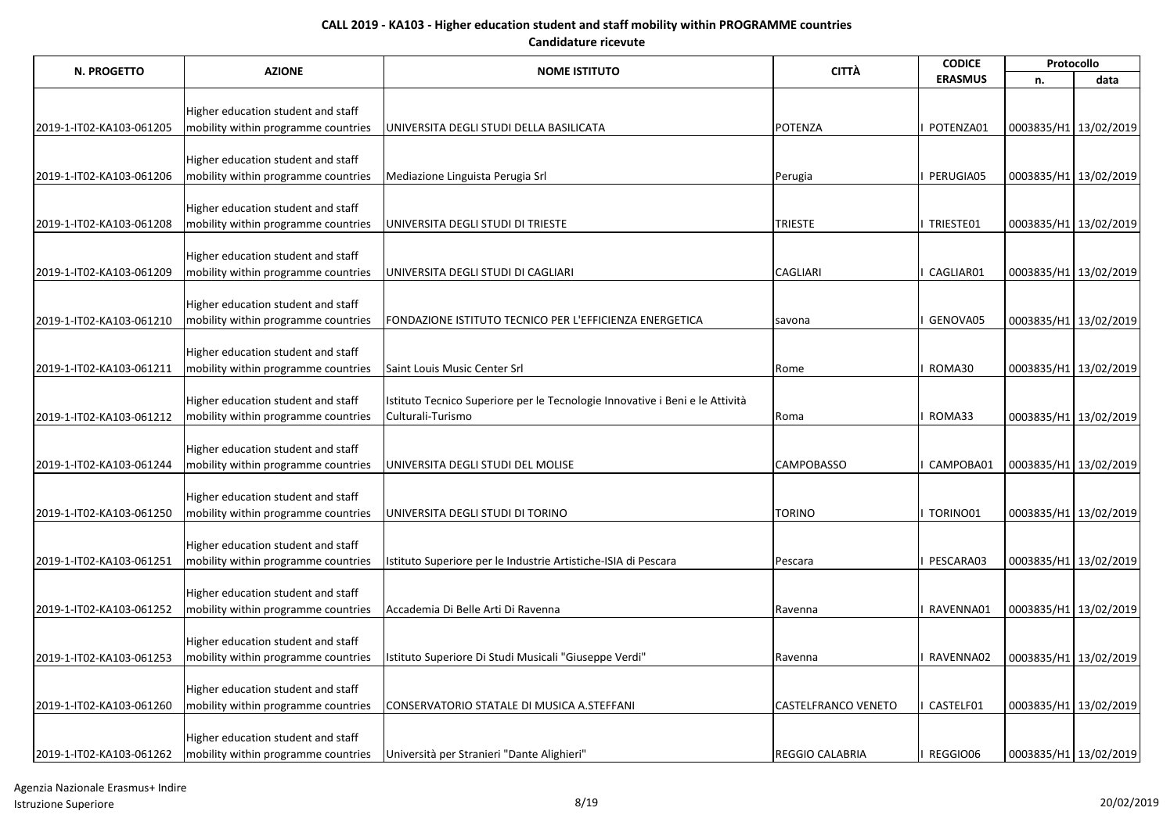| N. PROGETTO              | <b>AZIONE</b>                                                             | <b>NOME ISTITUTO</b>                                                                              | <b>CITTÀ</b>               | <b>CODICE</b>  |                       | Protocollo |
|--------------------------|---------------------------------------------------------------------------|---------------------------------------------------------------------------------------------------|----------------------------|----------------|-----------------------|------------|
|                          |                                                                           |                                                                                                   |                            | <b>ERASMUS</b> | n.                    | data       |
|                          |                                                                           |                                                                                                   |                            |                |                       |            |
|                          | Higher education student and staff                                        |                                                                                                   |                            |                |                       |            |
| 2019-1-IT02-KA103-061205 | mobility within programme countries                                       | UNIVERSITA DEGLI STUDI DELLA BASILICATA                                                           | <b>POTENZA</b>             | POTENZA01      | 0003835/H1 13/02/2019 |            |
|                          | Higher education student and staff                                        |                                                                                                   |                            |                |                       |            |
| 2019-1-IT02-KA103-061206 | mobility within programme countries                                       | Mediazione Linguista Perugia Srl                                                                  | Perugia                    | PERUGIA05      | 0003835/H1 13/02/2019 |            |
|                          |                                                                           |                                                                                                   |                            |                |                       |            |
|                          | Higher education student and staff                                        |                                                                                                   |                            |                |                       |            |
| 2019-1-IT02-KA103-061208 | mobility within programme countries                                       | UNIVERSITA DEGLI STUDI DI TRIESTE                                                                 | <b>TRIESTE</b>             | TRIESTE01      | 0003835/H1 13/02/2019 |            |
|                          |                                                                           |                                                                                                   |                            |                |                       |            |
| 2019-1-IT02-KA103-061209 | Higher education student and staff<br>mobility within programme countries | UNIVERSITA DEGLI STUDI DI CAGLIARI                                                                | <b>CAGLIARI</b>            | CAGLIAR01      | 0003835/H1 13/02/2019 |            |
|                          |                                                                           |                                                                                                   |                            |                |                       |            |
|                          | Higher education student and staff                                        |                                                                                                   |                            |                |                       |            |
| 2019-1-IT02-KA103-061210 | mobility within programme countries                                       | FONDAZIONE ISTITUTO TECNICO PER L'EFFICIENZA ENERGETICA                                           | savona                     | GENOVA05       | 0003835/H1 13/02/2019 |            |
|                          |                                                                           |                                                                                                   |                            |                |                       |            |
|                          | Higher education student and staff                                        |                                                                                                   |                            |                |                       |            |
| 2019-1-IT02-KA103-061211 | mobility within programme countries                                       | Saint Louis Music Center Srl                                                                      | Rome                       | ROMA30         | 0003835/H1 13/02/2019 |            |
|                          |                                                                           |                                                                                                   |                            |                |                       |            |
| 2019-1-IT02-KA103-061212 | Higher education student and staff<br>mobility within programme countries | Istituto Tecnico Superiore per le Tecnologie Innovative i Beni e le Attività<br>Culturali-Turismo | Roma                       | ROMA33         | 0003835/H1 13/02/2019 |            |
|                          |                                                                           |                                                                                                   |                            |                |                       |            |
|                          | Higher education student and staff                                        |                                                                                                   |                            |                |                       |            |
| 2019-1-IT02-KA103-061244 | mobility within programme countries                                       | UNIVERSITA DEGLI STUDI DEL MOLISE                                                                 | <b>CAMPOBASSO</b>          | CAMPOBA01      | 0003835/H1 13/02/2019 |            |
|                          |                                                                           |                                                                                                   |                            |                |                       |            |
|                          | Higher education student and staff                                        |                                                                                                   |                            |                |                       |            |
| 2019-1-IT02-KA103-061250 | mobility within programme countries                                       | UNIVERSITA DEGLI STUDI DI TORINO                                                                  | <b>TORINO</b>              | TORINO01       | 0003835/H1 13/02/2019 |            |
|                          | Higher education student and staff                                        |                                                                                                   |                            |                |                       |            |
| 2019-1-IT02-KA103-061251 | mobility within programme countries                                       | Istituto Superiore per le Industrie Artistiche-ISIA di Pescara                                    | Pescara                    | PESCARA03      | 0003835/H1 13/02/2019 |            |
|                          |                                                                           |                                                                                                   |                            |                |                       |            |
|                          | Higher education student and staff                                        |                                                                                                   |                            |                |                       |            |
| 2019-1-IT02-KA103-061252 | mobility within programme countries                                       | Accademia Di Belle Arti Di Ravenna                                                                | Ravenna                    | RAVENNA01      | 0003835/H1 13/02/2019 |            |
|                          |                                                                           |                                                                                                   |                            |                |                       |            |
|                          | Higher education student and staff                                        |                                                                                                   |                            |                |                       |            |
| 2019-1-IT02-KA103-061253 | mobility within programme countries                                       | Istituto Superiore Di Studi Musicali "Giuseppe Verdi"                                             | Ravenna                    | RAVENNA02      | 0003835/H1 13/02/2019 |            |
|                          | Higher education student and staff                                        |                                                                                                   |                            |                |                       |            |
| 2019-1-IT02-KA103-061260 | mobility within programme countries                                       | CONSERVATORIO STATALE DI MUSICA A.STEFFANI                                                        | <b>CASTELFRANCO VENETO</b> | CASTELF01      | 0003835/H1 13/02/2019 |            |
|                          |                                                                           |                                                                                                   |                            |                |                       |            |
|                          | Higher education student and staff                                        |                                                                                                   |                            |                |                       |            |
| 2019-1-IT02-KA103-061262 | mobility within programme countries                                       | Università per Stranieri "Dante Alighieri"                                                        | <b>REGGIO CALABRIA</b>     | REGGIO06       | 0003835/H1 13/02/2019 |            |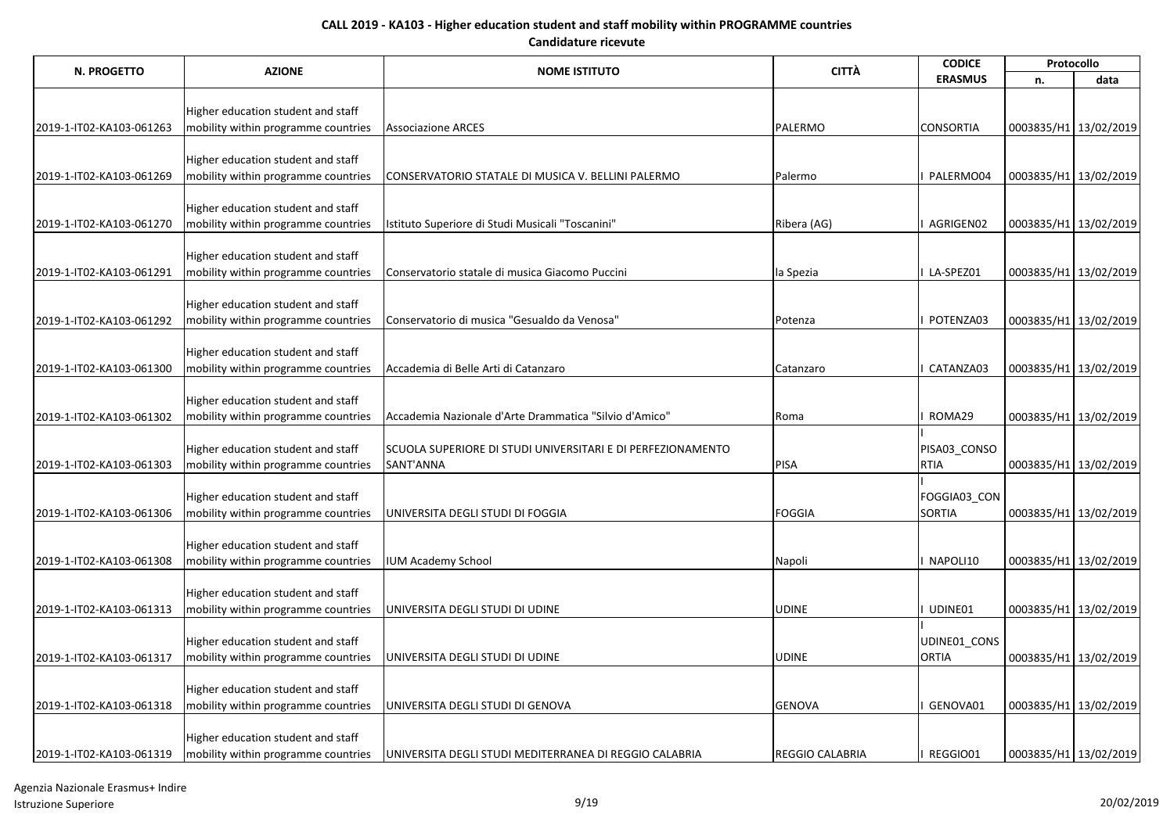| N. PROGETTO              | <b>AZIONE</b>                       | <b>NOME ISTITUTO</b>                                                     | <b>CITTÀ</b>           | <b>CODICE</b>    | Protocollo            |                         |
|--------------------------|-------------------------------------|--------------------------------------------------------------------------|------------------------|------------------|-----------------------|-------------------------|
|                          |                                     |                                                                          |                        | <b>ERASMUS</b>   | n.                    | data                    |
|                          |                                     |                                                                          |                        |                  |                       |                         |
|                          | Higher education student and staff  |                                                                          |                        |                  |                       |                         |
| 2019-1-IT02-KA103-061263 | mobility within programme countries | <b>Associazione ARCES</b>                                                | PALERMO                | <b>CONSORTIA</b> | 0003835/H1 13/02/2019 |                         |
|                          |                                     |                                                                          |                        |                  |                       |                         |
|                          | Higher education student and staff  |                                                                          |                        |                  |                       |                         |
| 2019-1-IT02-KA103-061269 | mobility within programme countries | CONSERVATORIO STATALE DI MUSICA V. BELLINI PALERMO                       | Palermo                | I PALERMO04      | 0003835/H1 13/02/2019 |                         |
|                          | Higher education student and staff  |                                                                          |                        |                  |                       |                         |
| 2019-1-IT02-KA103-061270 | mobility within programme countries | Istituto Superiore di Studi Musicali "Toscanini"                         | Ribera (AG)            | I AGRIGEN02      | 0003835/H1 13/02/2019 |                         |
|                          |                                     |                                                                          |                        |                  |                       |                         |
|                          | Higher education student and staff  |                                                                          |                        |                  |                       |                         |
| 2019-1-IT02-KA103-061291 | mobility within programme countries | Conservatorio statale di musica Giacomo Puccini                          | la Spezia              | I LA-SPEZ01      | 0003835/H1 13/02/2019 |                         |
|                          |                                     |                                                                          |                        |                  |                       |                         |
|                          | Higher education student and staff  |                                                                          |                        |                  |                       |                         |
| 2019-1-IT02-KA103-061292 | mobility within programme countries | Conservatorio di musica "Gesualdo da Venosa"                             | Potenza                | I POTENZA03      | 0003835/H1 13/02/2019 |                         |
|                          |                                     |                                                                          |                        |                  |                       |                         |
|                          | Higher education student and staff  |                                                                          |                        |                  |                       |                         |
| 2019-1-IT02-KA103-061300 | mobility within programme countries | Accademia di Belle Arti di Catanzaro                                     | Catanzaro              | CATANZA03        | 0003835/H1 13/02/2019 |                         |
|                          |                                     |                                                                          |                        |                  |                       |                         |
|                          | Higher education student and staff  |                                                                          |                        |                  |                       |                         |
| 2019-1-IT02-KA103-061302 | mobility within programme countries | Accademia Nazionale d'Arte Drammatica "Silvio d'Amico"                   | Roma                   | I ROMA29         | 0003835/H1 13/02/2019 |                         |
|                          |                                     |                                                                          |                        |                  |                       |                         |
|                          | Higher education student and staff  | SCUOLA SUPERIORE DI STUDI UNIVERSITARI E DI PERFEZIONAMENTO<br>SANT'ANNA |                        | PISA03_CONSO     |                       |                         |
| 2019-1-IT02-KA103-061303 | mobility within programme countries |                                                                          | PISA                   | <b>RTIA</b>      | 0003835/H1 13/02/2019 |                         |
|                          | Higher education student and staff  |                                                                          |                        | FOGGIA03_CON     |                       |                         |
| 2019-1-IT02-KA103-061306 | mobility within programme countries | UNIVERSITA DEGLI STUDI DI FOGGIA                                         | FOGGIA                 | <b>SORTIA</b>    | 0003835/H1 13/02/2019 |                         |
|                          |                                     |                                                                          |                        |                  |                       |                         |
|                          | Higher education student and staff  |                                                                          |                        |                  |                       |                         |
| 2019-1-IT02-KA103-061308 | mobility within programme countries | <b>IUM Academy School</b>                                                | Napoli                 | I NAPOLI10       |                       | 0003835/H1 13/02/2019   |
|                          |                                     |                                                                          |                        |                  |                       |                         |
|                          | Higher education student and staff  |                                                                          |                        |                  |                       |                         |
| 2019-1-IT02-KA103-061313 | mobility within programme countries | UNIVERSITA DEGLI STUDI DI UDINE                                          | <b>UDINE</b>           | UDINE01          | 0003835/H1 13/02/2019 |                         |
|                          |                                     |                                                                          |                        |                  |                       |                         |
|                          | Higher education student and staff  |                                                                          |                        | UDINE01_CONS     |                       |                         |
| 2019-1-IT02-KA103-061317 | mobility within programme countries | UNIVERSITA DEGLI STUDI DI UDINE                                          | <b>UDINE</b>           | <b>ORTIA</b>     |                       | 0003835/H1 13/02/2019   |
|                          |                                     |                                                                          |                        |                  |                       |                         |
|                          | Higher education student and staff  |                                                                          |                        |                  |                       |                         |
| 2019-1-IT02-KA103-061318 | mobility within programme countries | UNIVERSITA DEGLI STUDI DI GENOVA                                         | <b>GENOVA</b>          | GENOVA01         | 0003835/H1 13/02/2019 |                         |
|                          | Higher education student and staff  |                                                                          |                        |                  |                       |                         |
| 2019-1-IT02-KA103-061319 | mobility within programme countries | UNIVERSITA DEGLI STUDI MEDITERRANEA DI REGGIO CALABRIA                   | <b>REGGIO CALABRIA</b> | I REGGIO01       |                       | 0003835/H1   13/02/2019 |
|                          |                                     |                                                                          |                        |                  |                       |                         |

Agenzia Nazionale Erasmus+ Indire Istruzione Superiore 9/19 20/02/2019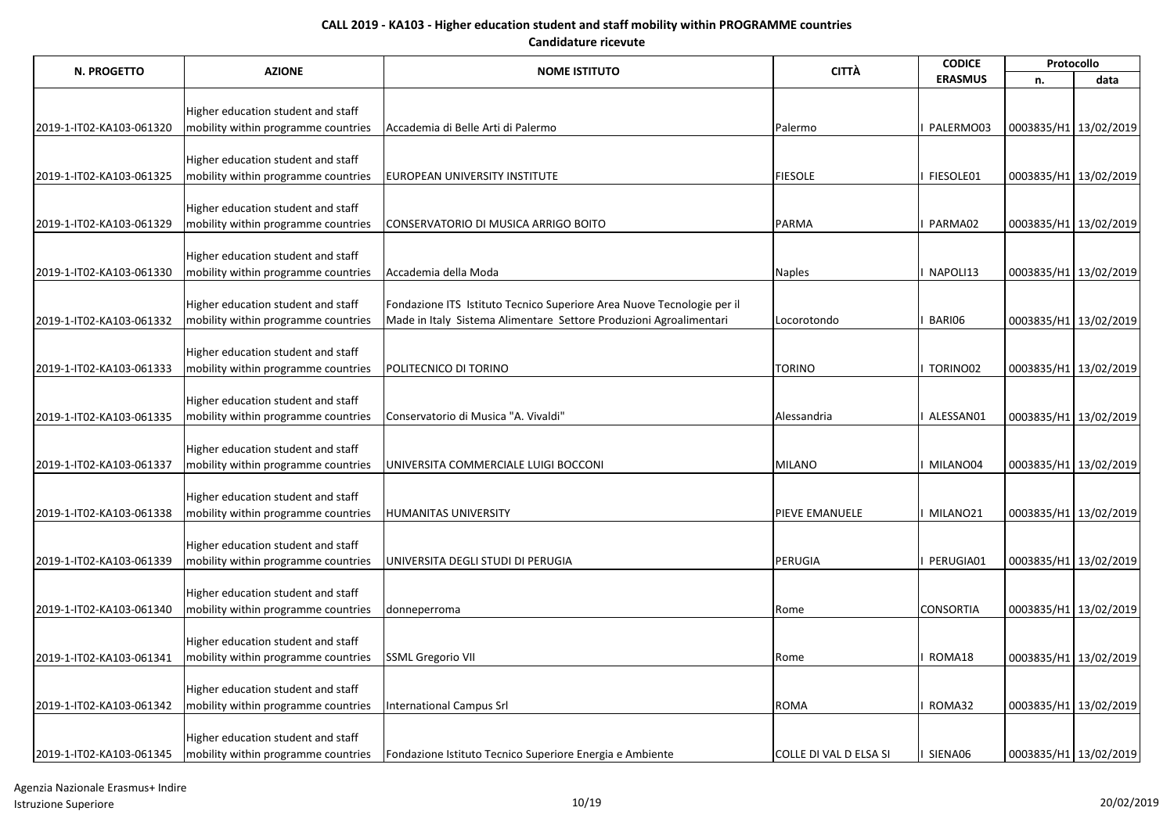| N. PROGETTO              | <b>AZIONE</b>                       | <b>NOME ISTITUTO</b>                                                   | <b>CITTÀ</b>           | <b>CODICE</b>    | Protocollo            |                       |
|--------------------------|-------------------------------------|------------------------------------------------------------------------|------------------------|------------------|-----------------------|-----------------------|
|                          |                                     |                                                                        |                        | <b>ERASMUS</b>   | n.                    | data                  |
|                          |                                     |                                                                        |                        |                  |                       |                       |
|                          | Higher education student and staff  |                                                                        |                        |                  |                       |                       |
| 2019-1-IT02-KA103-061320 | mobility within programme countries | Accademia di Belle Arti di Palermo                                     | Palermo                | PALERMO03        | 0003835/H1 13/02/2019 |                       |
|                          | Higher education student and staff  |                                                                        |                        |                  |                       |                       |
| 2019-1-IT02-KA103-061325 | mobility within programme countries | EUROPEAN UNIVERSITY INSTITUTE                                          | <b>FIESOLE</b>         | I FIESOLE01      | 0003835/H1 13/02/2019 |                       |
|                          |                                     |                                                                        |                        |                  |                       |                       |
|                          | Higher education student and staff  |                                                                        |                        |                  |                       |                       |
| 2019-1-IT02-KA103-061329 | mobility within programme countries | CONSERVATORIO DI MUSICA ARRIGO BOITO                                   | <b>PARMA</b>           | I PARMA02        | 0003835/H1 13/02/2019 |                       |
|                          |                                     |                                                                        |                        |                  |                       |                       |
|                          | Higher education student and staff  |                                                                        |                        |                  |                       |                       |
| 2019-1-IT02-KA103-061330 | mobility within programme countries | Accademia della Moda                                                   | <b>Naples</b>          | I NAPOLI13       | 0003835/H1 13/02/2019 |                       |
|                          |                                     |                                                                        |                        |                  |                       |                       |
|                          | Higher education student and staff  | Fondazione ITS Istituto Tecnico Superiore Area Nuove Tecnologie per il |                        |                  |                       |                       |
| 2019-1-IT02-KA103-061332 | mobility within programme countries | Made in Italy Sistema Alimentare Settore Produzioni Agroalimentari     | Locorotondo            | BARI06           | 0003835/H1 13/02/2019 |                       |
|                          | Higher education student and staff  |                                                                        |                        |                  |                       |                       |
| 2019-1-IT02-KA103-061333 | mobility within programme countries | POLITECNICO DI TORINO                                                  | <b>TORINO</b>          | I TORINO02       | 0003835/H1 13/02/2019 |                       |
|                          |                                     |                                                                        |                        |                  |                       |                       |
|                          | Higher education student and staff  |                                                                        |                        |                  |                       |                       |
| 2019-1-IT02-KA103-061335 | mobility within programme countries | Conservatorio di Musica "A. Vivaldi"                                   | Alessandria            | I ALESSAN01      | 0003835/H1 13/02/2019 |                       |
|                          |                                     |                                                                        |                        |                  |                       |                       |
|                          | Higher education student and staff  |                                                                        |                        |                  |                       |                       |
| 2019-1-IT02-KA103-061337 | mobility within programme countries | UNIVERSITA COMMERCIALE LUIGI BOCCONI                                   | MILANO                 | I MILANO04       | 0003835/H1 13/02/2019 |                       |
|                          |                                     |                                                                        |                        |                  |                       |                       |
|                          | Higher education student and staff  |                                                                        |                        |                  |                       |                       |
| 2019-1-IT02-KA103-061338 | mobility within programme countries | <b>HUMANITAS UNIVERSITY</b>                                            | PIEVE EMANUELE         | <b>MILANO21</b>  | 0003835/H1 13/02/2019 |                       |
|                          | Higher education student and staff  |                                                                        |                        |                  |                       |                       |
| 2019-1-IT02-KA103-061339 | mobility within programme countries | UNIVERSITA DEGLI STUDI DI PERUGIA                                      | PERUGIA                | PERUGIA01        |                       | 0003835/H1 13/02/2019 |
|                          |                                     |                                                                        |                        |                  |                       |                       |
|                          | Higher education student and staff  |                                                                        |                        |                  |                       |                       |
| 2019-1-IT02-KA103-061340 | mobility within programme countries | donneperroma                                                           | Rome                   | <b>CONSORTIA</b> | 0003835/H1 13/02/2019 |                       |
|                          |                                     |                                                                        |                        |                  |                       |                       |
|                          | Higher education student and staff  |                                                                        |                        |                  |                       |                       |
| 2019-1-IT02-KA103-061341 | mobility within programme countries | <b>SSML Gregorio VII</b>                                               | Rome                   | ROMA18           | 0003835/H1 13/02/2019 |                       |
|                          |                                     |                                                                        |                        |                  |                       |                       |
|                          | Higher education student and staff  |                                                                        |                        |                  |                       |                       |
| 2019-1-IT02-KA103-061342 | mobility within programme countries | <b>International Campus Srl</b>                                        | <b>ROMA</b>            | ROMA32           | 0003835/H1 13/02/2019 |                       |
|                          | Higher education student and staff  |                                                                        |                        |                  |                       |                       |
| 2019-1-IT02-KA103-061345 | mobility within programme countries | Fondazione Istituto Tecnico Superiore Energia e Ambiente               | COLLE DI VAL D ELSA SI | I SIENA06        |                       | 0003835/H1 13/02/2019 |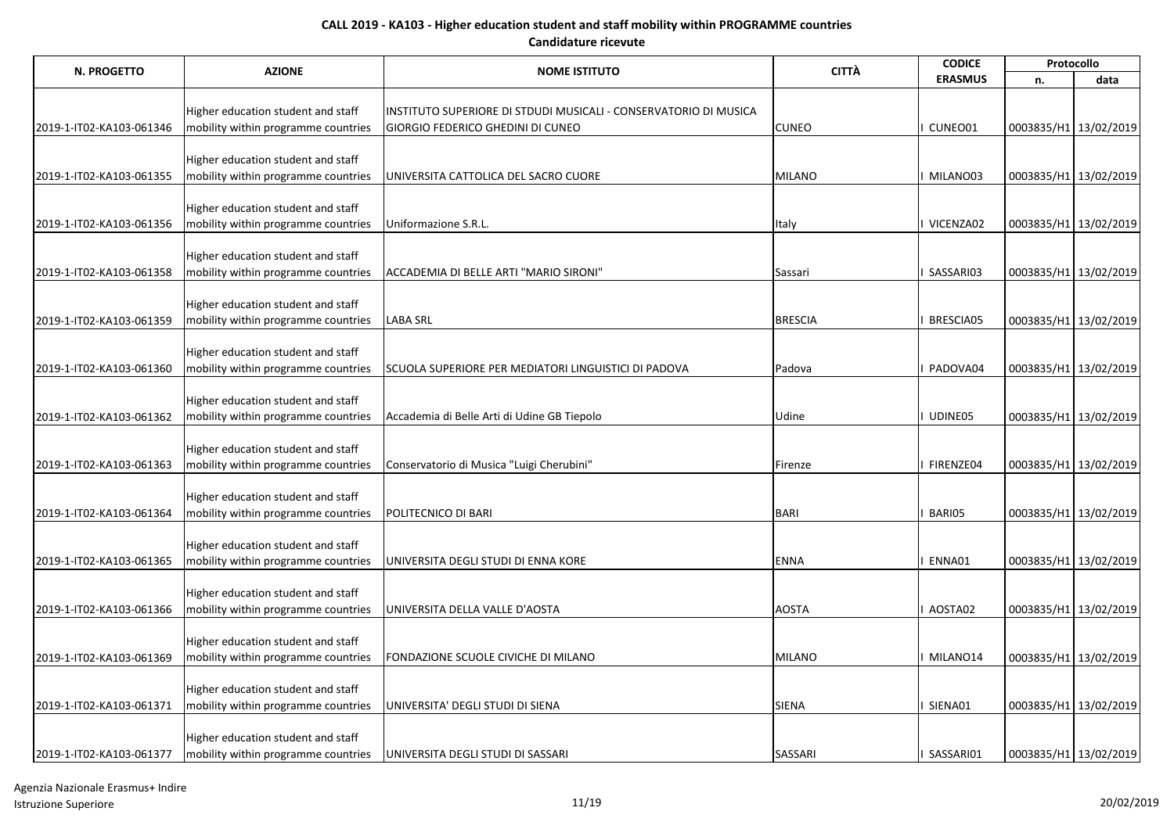| N. PROGETTO              | <b>AZIONE</b>                                                             | <b>NOME ISTITUTO</b>                                             | <b>CITTÀ</b>   | <b>CODICE</b>    | Protocollo            |      |
|--------------------------|---------------------------------------------------------------------------|------------------------------------------------------------------|----------------|------------------|-----------------------|------|
|                          |                                                                           |                                                                  |                | <b>ERASMUS</b>   | n.                    | data |
|                          |                                                                           |                                                                  |                |                  |                       |      |
|                          | Higher education student and staff                                        | INSTITUTO SUPERIORE DI STDUDI MUSICALI - CONSERVATORIO DI MUSICA |                | CUNEO01          |                       |      |
| 2019-1-IT02-KA103-061346 | mobility within programme countries                                       | <b>GIORGIO FEDERICO GHEDINI DI CUNEO</b>                         | <b>CUNEO</b>   |                  | 0003835/H1 13/02/2019 |      |
|                          | Higher education student and staff                                        |                                                                  |                |                  |                       |      |
| 2019-1-IT02-KA103-061355 | mobility within programme countries                                       | UNIVERSITA CATTOLICA DEL SACRO CUORE                             | <b>MILANO</b>  | I MILANO03       | 0003835/H1 13/02/2019 |      |
|                          |                                                                           |                                                                  |                |                  |                       |      |
|                          | Higher education student and staff                                        |                                                                  |                |                  |                       |      |
| 2019-1-IT02-KA103-061356 | mobility within programme countries                                       | Uniformazione S.R.L.                                             | Italy          | <b>VICENZA02</b> | 0003835/H1 13/02/2019 |      |
|                          |                                                                           |                                                                  |                |                  |                       |      |
| 2019-1-IT02-KA103-061358 | Higher education student and staff<br>mobility within programme countries | ACCADEMIA DI BELLE ARTI "MARIO SIRONI"                           | Sassari        | SASSARI03        | 0003835/H1 13/02/2019 |      |
|                          |                                                                           |                                                                  |                |                  |                       |      |
|                          | Higher education student and staff                                        |                                                                  |                |                  |                       |      |
| 2019-1-IT02-KA103-061359 | mobility within programme countries                                       | <b>LABA SRL</b>                                                  | <b>BRESCIA</b> | <b>BRESCIA05</b> | 0003835/H1 13/02/2019 |      |
|                          |                                                                           |                                                                  |                |                  |                       |      |
|                          | Higher education student and staff                                        |                                                                  |                |                  |                       |      |
| 2019-1-IT02-KA103-061360 | mobility within programme countries                                       | SCUOLA SUPERIORE PER MEDIATORI LINGUISTICI DI PADOVA             | Padova         | PADOVA04         | 0003835/H1 13/02/2019 |      |
|                          | Higher education student and staff                                        |                                                                  |                |                  |                       |      |
| 2019-1-IT02-KA103-061362 | mobility within programme countries                                       | Accademia di Belle Arti di Udine GB Tiepolo                      | Udine          | UDINE05          | 0003835/H1 13/02/2019 |      |
|                          |                                                                           |                                                                  |                |                  |                       |      |
|                          | Higher education student and staff                                        |                                                                  |                |                  |                       |      |
| 2019-1-IT02-KA103-061363 | mobility within programme countries                                       | Conservatorio di Musica "Luigi Cherubini"                        | Firenze        | I FIRENZE04      | 0003835/H1 13/02/2019 |      |
|                          |                                                                           |                                                                  |                |                  |                       |      |
|                          | Higher education student and staff                                        |                                                                  |                |                  |                       |      |
| 2019-1-IT02-KA103-061364 | mobility within programme countries                                       | POLITECNICO DI BARI                                              | <b>BARI</b>    | BARI05           | 0003835/H1 13/02/2019 |      |
|                          | Higher education student and staff                                        |                                                                  |                |                  |                       |      |
| 2019-1-IT02-KA103-061365 | mobility within programme countries                                       | UNIVERSITA DEGLI STUDI DI ENNA KORE                              | <b>ENNA</b>    | ENNA01           | 0003835/H1 13/02/2019 |      |
|                          |                                                                           |                                                                  |                |                  |                       |      |
|                          | Higher education student and staff                                        |                                                                  |                |                  |                       |      |
| 2019-1-IT02-KA103-061366 | mobility within programme countries                                       | UNIVERSITA DELLA VALLE D'AOSTA                                   | <b>AOSTA</b>   | AOSTA02          | 0003835/H1 13/02/2019 |      |
|                          |                                                                           |                                                                  |                |                  |                       |      |
|                          | Higher education student and staff                                        |                                                                  |                |                  |                       |      |
| 2019-1-IT02-KA103-061369 | mobility within programme countries                                       | FONDAZIONE SCUOLE CIVICHE DI MILANO                              | <b>MILANO</b>  | MILANO14         | 0003835/H1 13/02/2019 |      |
|                          | Higher education student and staff                                        |                                                                  |                |                  |                       |      |
| 2019-1-IT02-KA103-061371 | mobility within programme countries                                       | UNIVERSITA' DEGLI STUDI DI SIENA                                 | SIENA          | SIENA01          | 0003835/H1 13/02/2019 |      |
|                          |                                                                           |                                                                  |                |                  |                       |      |
|                          | Higher education student and staff                                        |                                                                  |                |                  |                       |      |
| 2019-1-IT02-KA103-061377 | mobility within programme countries                                       | UNIVERSITA DEGLI STUDI DI SASSARI                                | SASSARI        | SASSARI01        | 0003835/H1 13/02/2019 |      |

Agenzia Nazionale Erasmus+ Indire Istruzione Superiore 11/19 20/02/2019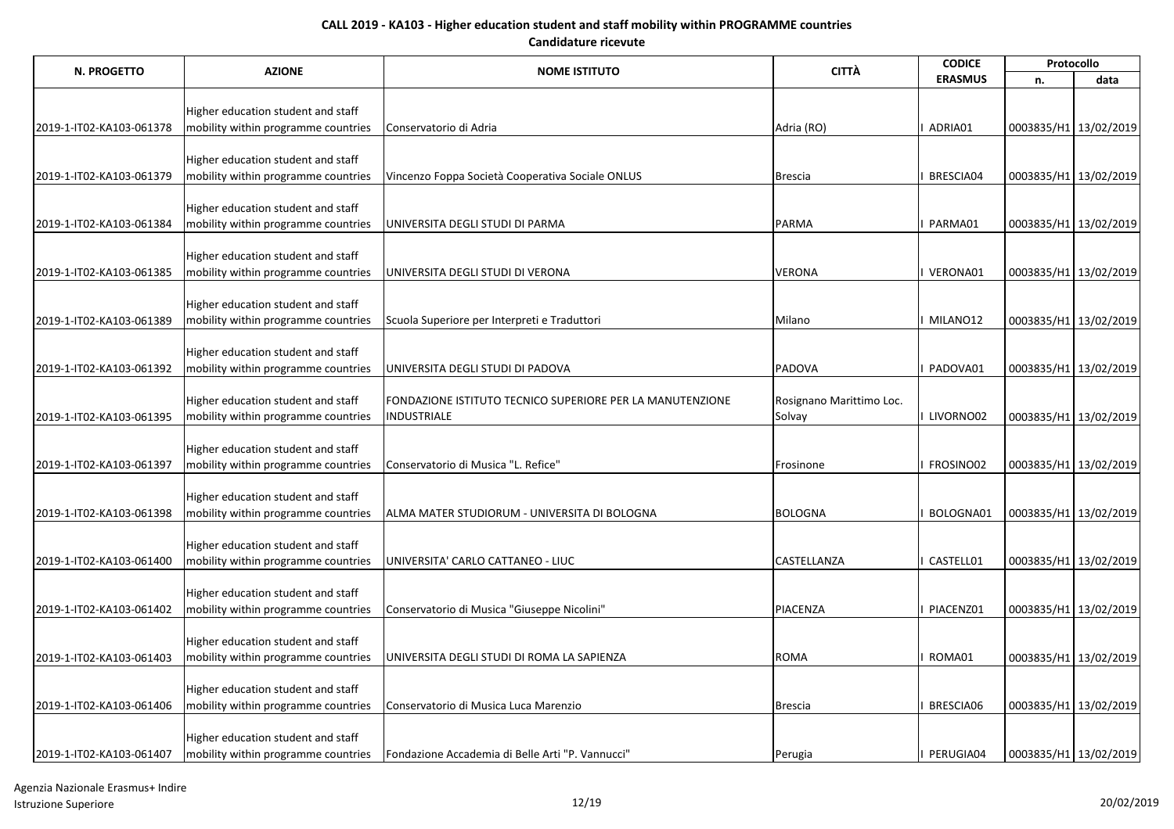| <b>N. PROGETTO</b>       |                                                                           |                                                           | <b>CITTÀ</b>             | <b>CODICE</b>  |                       | Protocollo |
|--------------------------|---------------------------------------------------------------------------|-----------------------------------------------------------|--------------------------|----------------|-----------------------|------------|
|                          | <b>AZIONE</b>                                                             | <b>NOME ISTITUTO</b>                                      |                          | <b>ERASMUS</b> | n.                    | data       |
|                          |                                                                           |                                                           |                          |                |                       |            |
|                          | Higher education student and staff                                        |                                                           |                          |                |                       |            |
| 2019-1-IT02-KA103-061378 | mobility within programme countries                                       | Conservatorio di Adria                                    | Adria (RO)               | ADRIA01        | 0003835/H1 13/02/2019 |            |
|                          |                                                                           |                                                           |                          |                |                       |            |
| 2019-1-IT02-KA103-061379 | Higher education student and staff<br>mobility within programme countries | Vincenzo Foppa Società Cooperativa Sociale ONLUS          | <b>Brescia</b>           | BRESCIA04      | 0003835/H1 13/02/2019 |            |
|                          |                                                                           |                                                           |                          |                |                       |            |
|                          | Higher education student and staff                                        |                                                           |                          |                |                       |            |
| 2019-1-IT02-KA103-061384 | mobility within programme countries                                       | UNIVERSITA DEGLI STUDI DI PARMA                           | <b>PARMA</b>             | PARMA01        | 0003835/H1 13/02/2019 |            |
|                          |                                                                           |                                                           |                          |                |                       |            |
|                          | Higher education student and staff                                        |                                                           |                          |                |                       |            |
| 2019-1-IT02-KA103-061385 | mobility within programme countries                                       | UNIVERSITA DEGLI STUDI DI VERONA                          | <b>VERONA</b>            | VERONA01       | 0003835/H1 13/02/2019 |            |
|                          |                                                                           |                                                           |                          |                |                       |            |
|                          | Higher education student and staff                                        |                                                           |                          |                |                       |            |
| 2019-1-IT02-KA103-061389 | mobility within programme countries                                       | Scuola Superiore per Interpreti e Traduttori              | Milano                   | MILANO12       | 0003835/H1 13/02/2019 |            |
|                          |                                                                           |                                                           |                          |                |                       |            |
|                          | Higher education student and staff                                        |                                                           |                          |                |                       |            |
| 2019-1-IT02-KA103-061392 | mobility within programme countries                                       | UNIVERSITA DEGLI STUDI DI PADOVA                          | PADOVA                   | PADOVA01       | 0003835/H1 13/02/2019 |            |
|                          | Higher education student and staff                                        | FONDAZIONE ISTITUTO TECNICO SUPERIORE PER LA MANUTENZIONE | Rosignano Marittimo Loc. |                |                       |            |
| 2019-1-IT02-KA103-061395 | mobility within programme countries                                       | <b>INDUSTRIALE</b>                                        | Solvay                   | I LIVORNO02    | 0003835/H1 13/02/2019 |            |
|                          |                                                                           |                                                           |                          |                |                       |            |
|                          | Higher education student and staff                                        |                                                           |                          |                |                       |            |
| 2019-1-IT02-KA103-061397 | mobility within programme countries                                       | Conservatorio di Musica "L. Refice"                       | Frosinone                | FROSINO02      | 0003835/H1 13/02/2019 |            |
|                          |                                                                           |                                                           |                          |                |                       |            |
|                          | Higher education student and staff                                        |                                                           |                          |                |                       |            |
| 2019-1-IT02-KA103-061398 | mobility within programme countries                                       | ALMA MATER STUDIORUM - UNIVERSITA DI BOLOGNA              | <b>BOLOGNA</b>           | BOLOGNA01      | 0003835/H1 13/02/2019 |            |
|                          |                                                                           |                                                           |                          |                |                       |            |
|                          | Higher education student and staff                                        |                                                           |                          |                |                       |            |
| 2019-1-IT02-KA103-061400 | mobility within programme countries                                       | UNIVERSITA' CARLO CATTANEO - LIUC                         | CASTELLANZA              | CASTELL01      | 0003835/H1 13/02/2019 |            |
|                          | Higher education student and staff                                        |                                                           |                          |                |                       |            |
| 2019-1-IT02-KA103-061402 | mobility within programme countries                                       | Conservatorio di Musica "Giuseppe Nicolini"               | PIACENZA                 | PIACENZ01      | 0003835/H1 13/02/2019 |            |
|                          |                                                                           |                                                           |                          |                |                       |            |
|                          | Higher education student and staff                                        |                                                           |                          |                |                       |            |
| 2019-1-IT02-KA103-061403 | mobility within programme countries                                       | UNIVERSITA DEGLI STUDI DI ROMA LA SAPIENZA                | <b>ROMA</b>              | ROMA01         | 0003835/H1 13/02/2019 |            |
|                          |                                                                           |                                                           |                          |                |                       |            |
|                          | Higher education student and staff                                        |                                                           |                          |                |                       |            |
| 2019-1-IT02-KA103-061406 | mobility within programme countries                                       | Conservatorio di Musica Luca Marenzio                     | <b>Brescia</b>           | BRESCIA06      | 0003835/H1 13/02/2019 |            |
|                          |                                                                           |                                                           |                          |                |                       |            |
|                          | Higher education student and staff                                        |                                                           |                          |                |                       |            |
| 2019-1-IT02-KA103-061407 | mobility within programme countries                                       | Fondazione Accademia di Belle Arti "P. Vannucci"          | Perugia                  | PERUGIA04      | 0003835/H1 13/02/2019 |            |

Agenzia Nazionale Erasmus+ Indire Istruzione Superiore 12/19 20/02/2019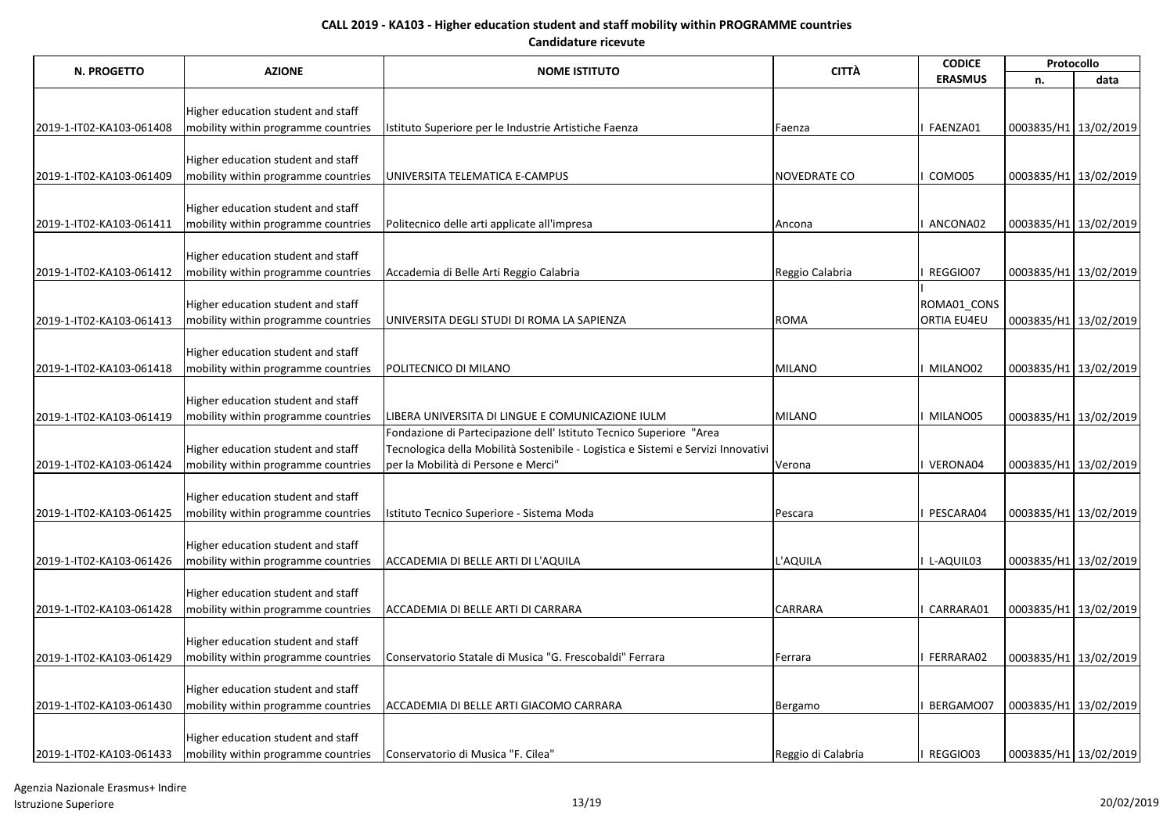| N. PROGETTO              | <b>AZIONE</b>                       | <b>NOME ISTITUTO</b>                                                              | <b>CITTÀ</b>        | <b>CODICE</b>  | Protocollo            |                       |
|--------------------------|-------------------------------------|-----------------------------------------------------------------------------------|---------------------|----------------|-----------------------|-----------------------|
|                          |                                     |                                                                                   |                     | <b>ERASMUS</b> | n.                    | data                  |
|                          |                                     |                                                                                   |                     |                |                       |                       |
|                          | Higher education student and staff  |                                                                                   |                     |                |                       |                       |
| 2019-1-IT02-KA103-061408 | mobility within programme countries | Istituto Superiore per le Industrie Artistiche Faenza                             | Faenza              | FAENZA01       | 0003835/H1 13/02/2019 |                       |
|                          |                                     |                                                                                   |                     |                |                       |                       |
|                          | Higher education student and staff  |                                                                                   |                     |                |                       |                       |
| 2019-1-IT02-KA103-061409 | mobility within programme countries | UNIVERSITA TELEMATICA E-CAMPUS                                                    | <b>NOVEDRATE CO</b> | COMO05         | 0003835/H1 13/02/2019 |                       |
|                          | Higher education student and staff  |                                                                                   |                     |                |                       |                       |
| 2019-1-IT02-KA103-061411 | mobility within programme countries | Politecnico delle arti applicate all'impresa                                      | Ancona              | ANCONA02       | 0003835/H1 13/02/2019 |                       |
|                          |                                     |                                                                                   |                     |                |                       |                       |
|                          | Higher education student and staff  |                                                                                   |                     |                |                       |                       |
| 2019-1-IT02-KA103-061412 | mobility within programme countries | Accademia di Belle Arti Reggio Calabria                                           | Reggio Calabria     | REGGIO07       | 0003835/H1 13/02/2019 |                       |
|                          |                                     |                                                                                   |                     |                |                       |                       |
|                          | Higher education student and staff  |                                                                                   |                     | ROMA01_CONS    |                       |                       |
| 2019-1-IT02-KA103-061413 | mobility within programme countries | UNIVERSITA DEGLI STUDI DI ROMA LA SAPIENZA                                        | <b>ROMA</b>         | ORTIA EU4EU    | 0003835/H1 13/02/2019 |                       |
|                          |                                     |                                                                                   |                     |                |                       |                       |
|                          | Higher education student and staff  |                                                                                   |                     |                |                       |                       |
| 2019-1-IT02-KA103-061418 | mobility within programme countries | POLITECNICO DI MILANO                                                             | <b>MILANO</b>       | MILANO02       | 0003835/H1 13/02/2019 |                       |
|                          |                                     |                                                                                   |                     |                |                       |                       |
|                          | Higher education student and staff  |                                                                                   |                     |                |                       |                       |
| 2019-1-IT02-KA103-061419 | mobility within programme countries | LIBERA UNIVERSITA DI LINGUE E COMUNICAZIONE IULM                                  | <b>MILANO</b>       | MILANO05       | 0003835/H1 13/02/2019 |                       |
|                          |                                     | Fondazione di Partecipazione dell' Istituto Tecnico Superiore "Area               |                     |                |                       |                       |
|                          | Higher education student and staff  | Tecnologica della Mobilità Sostenibile - Logistica e Sistemi e Servizi Innovativi |                     |                |                       |                       |
| 2019-1-IT02-KA103-061424 | mobility within programme countries | per la Mobilità di Persone e Merci"                                               | Verona              | VERONA04       | 0003835/H1 13/02/2019 |                       |
|                          |                                     |                                                                                   |                     |                |                       |                       |
| 2019-1-IT02-KA103-061425 | Higher education student and staff  |                                                                                   |                     | PESCARA04      | 0003835/H1 13/02/2019 |                       |
|                          | mobility within programme countries | Istituto Tecnico Superiore - Sistema Moda                                         | Pescara             |                |                       |                       |
|                          | Higher education student and staff  |                                                                                   |                     |                |                       |                       |
| 2019-1-IT02-KA103-061426 | mobility within programme countries | ACCADEMIA DI BELLE ARTI DI L'AQUILA                                               | L'AQUILA            | L-AQUIL03      | 0003835/H1 13/02/2019 |                       |
|                          |                                     |                                                                                   |                     |                |                       |                       |
|                          | Higher education student and staff  |                                                                                   |                     |                |                       |                       |
| 2019-1-IT02-KA103-061428 | mobility within programme countries | ACCADEMIA DI BELLE ARTI DI CARRARA                                                | <b>CARRARA</b>      | CARRARA01      | 0003835/H1 13/02/2019 |                       |
|                          |                                     |                                                                                   |                     |                |                       |                       |
|                          | Higher education student and staff  |                                                                                   |                     |                |                       |                       |
| 2019-1-IT02-KA103-061429 | mobility within programme countries | Conservatorio Statale di Musica "G. Frescobaldi" Ferrara                          | Ferrara             | FERRARA02      | 0003835/H1 13/02/2019 |                       |
|                          |                                     |                                                                                   |                     |                |                       |                       |
|                          | Higher education student and staff  |                                                                                   |                     |                |                       |                       |
| 2019-1-IT02-KA103-061430 | mobility within programme countries | ACCADEMIA DI BELLE ARTI GIACOMO CARRARA                                           | Bergamo             | BERGAMO07      | 0003835/H1 13/02/2019 |                       |
|                          |                                     |                                                                                   |                     |                |                       |                       |
|                          | Higher education student and staff  |                                                                                   |                     |                |                       |                       |
| 2019-1-IT02-KA103-061433 | mobility within programme countries | Conservatorio di Musica "F. Cilea"                                                | Reggio di Calabria  | REGGIO03       |                       | 0003835/H1 13/02/2019 |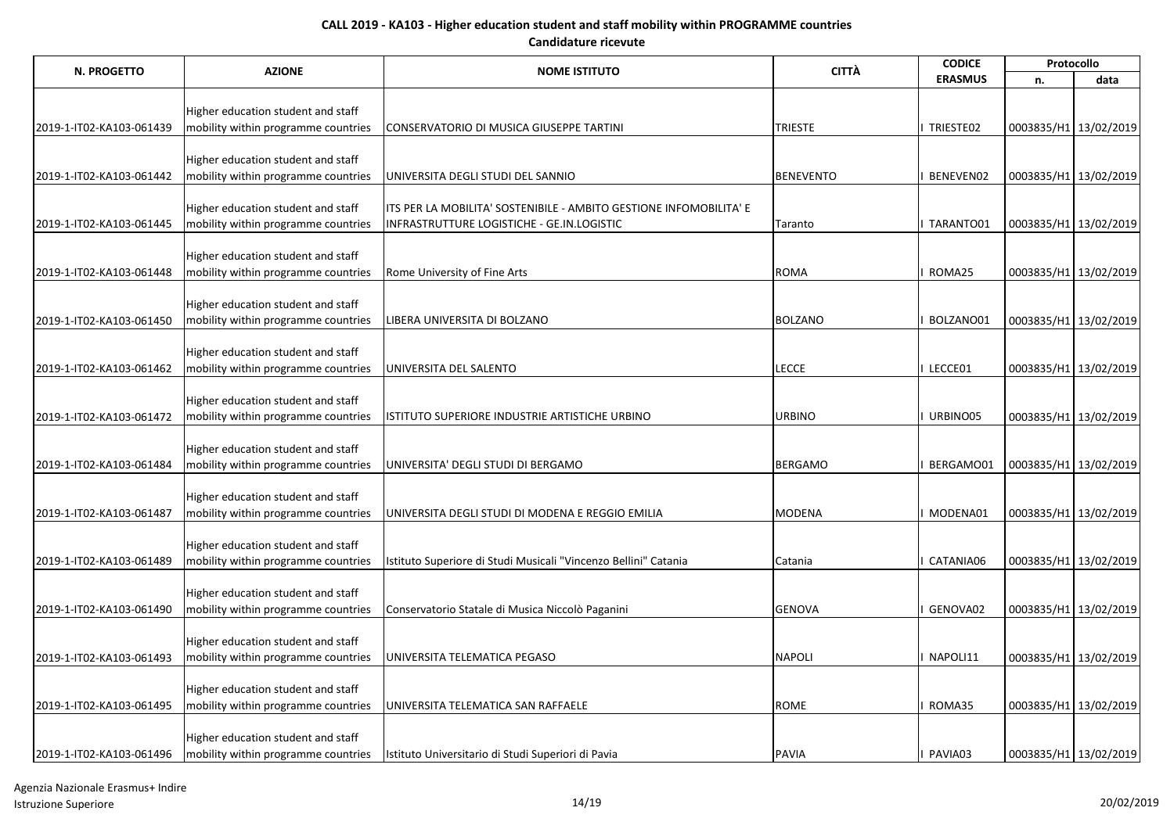| N. PROGETTO              | <b>AZIONE</b>                                                             | <b>NOME ISTITUTO</b>                                               | <b>CITTÀ</b>     | <b>CODICE</b>  | Protocollo            |      |
|--------------------------|---------------------------------------------------------------------------|--------------------------------------------------------------------|------------------|----------------|-----------------------|------|
|                          |                                                                           |                                                                    |                  | <b>ERASMUS</b> | n.                    | data |
|                          |                                                                           |                                                                    |                  |                |                       |      |
|                          | Higher education student and staff                                        |                                                                    |                  |                |                       |      |
| 2019-1-IT02-KA103-061439 | mobility within programme countries                                       | CONSERVATORIO DI MUSICA GIUSEPPE TARTINI                           | <b>TRIESTE</b>   | TRIESTE02      | 0003835/H1 13/02/2019 |      |
|                          |                                                                           |                                                                    |                  |                |                       |      |
| 2019-1-IT02-KA103-061442 | Higher education student and staff<br>mobility within programme countries | UNIVERSITA DEGLI STUDI DEL SANNIO                                  | <b>BENEVENTO</b> | BENEVEN02      | 0003835/H1 13/02/2019 |      |
|                          |                                                                           |                                                                    |                  |                |                       |      |
|                          | Higher education student and staff                                        | ITS PER LA MOBILITA' SOSTENIBILE - AMBITO GESTIONE INFOMOBILITA' E |                  |                |                       |      |
| 2019-1-IT02-KA103-061445 | mobility within programme countries                                       | INFRASTRUTTURE LOGISTICHE - GE.IN.LOGISTIC                         | Taranto          | I TARANTO01    | 0003835/H1 13/02/2019 |      |
|                          |                                                                           |                                                                    |                  |                |                       |      |
|                          | Higher education student and staff                                        |                                                                    |                  |                |                       |      |
| 2019-1-IT02-KA103-061448 | mobility within programme countries                                       | Rome University of Fine Arts                                       | <b>ROMA</b>      | ROMA25         | 0003835/H1 13/02/2019 |      |
|                          |                                                                           |                                                                    |                  |                |                       |      |
|                          | Higher education student and staff                                        |                                                                    |                  |                |                       |      |
| 2019-1-IT02-KA103-061450 | mobility within programme countries                                       | LIBERA UNIVERSITA DI BOLZANO                                       | <b>BOLZANO</b>   | BOLZANO01      | 0003835/H1 13/02/2019 |      |
|                          |                                                                           |                                                                    |                  |                |                       |      |
|                          | Higher education student and staff                                        |                                                                    |                  |                |                       |      |
| 2019-1-IT02-KA103-061462 | mobility within programme countries                                       | UNIVERSITA DEL SALENTO                                             | <b>LECCE</b>     | LECCE01        | 0003835/H1 13/02/2019 |      |
|                          |                                                                           |                                                                    |                  |                |                       |      |
| 2019-1-IT02-KA103-061472 | Higher education student and staff<br>mobility within programme countries | ISTITUTO SUPERIORE INDUSTRIE ARTISTICHE URBINO                     | <b>URBINO</b>    | URBINO05       | 0003835/H1 13/02/2019 |      |
|                          |                                                                           |                                                                    |                  |                |                       |      |
|                          | Higher education student and staff                                        |                                                                    |                  |                |                       |      |
| 2019-1-IT02-KA103-061484 | mobility within programme countries                                       | UNIVERSITA' DEGLI STUDI DI BERGAMO                                 | <b>BERGAMO</b>   | BERGAMO01      | 0003835/H1 13/02/2019 |      |
|                          |                                                                           |                                                                    |                  |                |                       |      |
|                          | Higher education student and staff                                        |                                                                    |                  |                |                       |      |
| 2019-1-IT02-KA103-061487 | mobility within programme countries                                       | UNIVERSITA DEGLI STUDI DI MODENA E REGGIO EMILIA                   | <b>MODENA</b>    | MODENA01       | 0003835/H1 13/02/2019 |      |
|                          |                                                                           |                                                                    |                  |                |                       |      |
|                          | Higher education student and staff                                        |                                                                    |                  |                |                       |      |
| 2019-1-IT02-KA103-061489 | mobility within programme countries                                       | Istituto Superiore di Studi Musicali "Vincenzo Bellini" Catania    | Catania          | CATANIA06      | 0003835/H1 13/02/2019 |      |
|                          |                                                                           |                                                                    |                  |                |                       |      |
|                          | Higher education student and staff                                        |                                                                    | <b>GENOVA</b>    | GENOVA02       |                       |      |
| 2019-1-IT02-KA103-061490 | mobility within programme countries                                       | Conservatorio Statale di Musica Niccolò Paganini                   |                  |                | 0003835/H1 13/02/2019 |      |
|                          | Higher education student and staff                                        |                                                                    |                  |                |                       |      |
| 2019-1-IT02-KA103-061493 | mobility within programme countries                                       | UNIVERSITA TELEMATICA PEGASO                                       | <b>NAPOLI</b>    | NAPOLI11       | 0003835/H1 13/02/2019 |      |
|                          |                                                                           |                                                                    |                  |                |                       |      |
|                          | Higher education student and staff                                        |                                                                    |                  |                |                       |      |
| 2019-1-IT02-KA103-061495 | mobility within programme countries                                       | UNIVERSITA TELEMATICA SAN RAFFAELE                                 | <b>ROME</b>      | ROMA35         | 0003835/H1 13/02/2019 |      |
|                          |                                                                           |                                                                    |                  |                |                       |      |
|                          | Higher education student and staff                                        |                                                                    |                  |                |                       |      |
| 2019-1-IT02-KA103-061496 | mobility within programme countries                                       | Istituto Universitario di Studi Superiori di Pavia                 | <b>PAVIA</b>     | PAVIA03        | 0003835/H1 13/02/2019 |      |

Agenzia Nazionale Erasmus+ Indire Istruzione Superiore 14/19 20/02/2019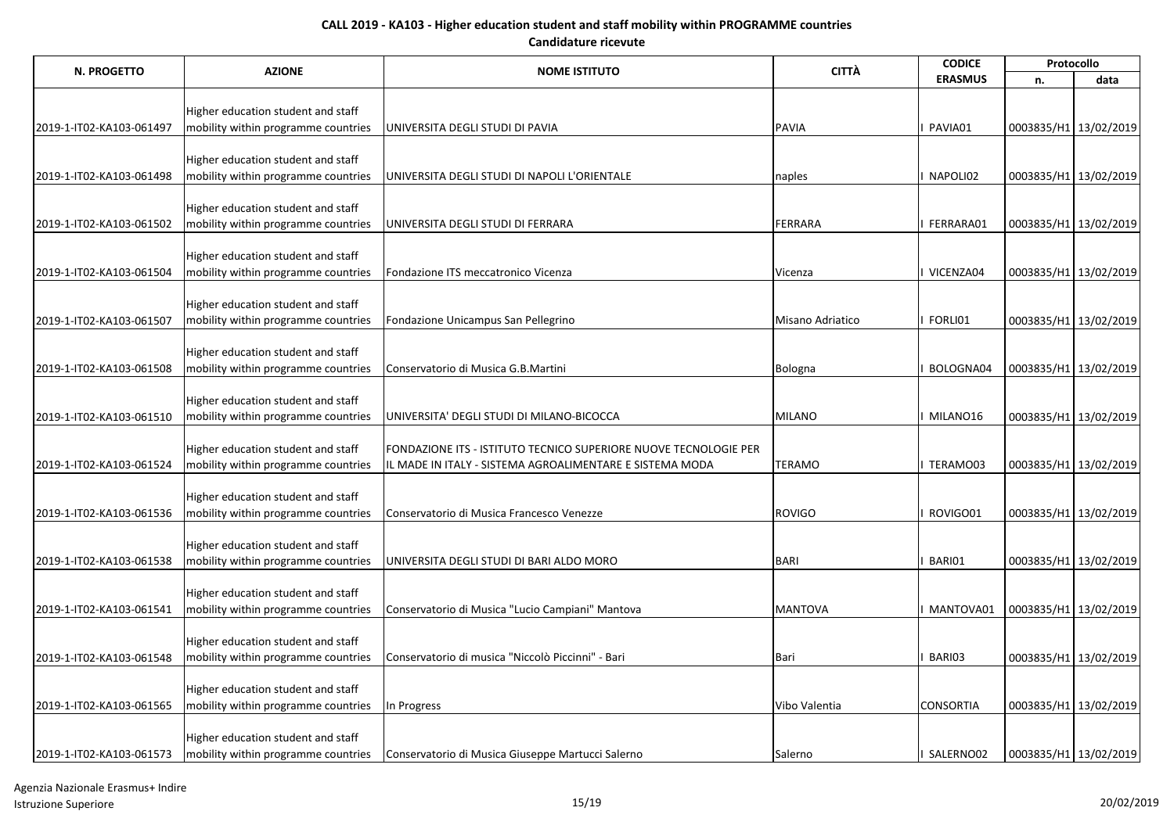| N. PROGETTO              | <b>AZIONE</b>                                                             | <b>NOME ISTITUTO</b>                                             | <b>CITTÀ</b>     | <b>CODICE</b>    | Protocollo            |      |
|--------------------------|---------------------------------------------------------------------------|------------------------------------------------------------------|------------------|------------------|-----------------------|------|
|                          |                                                                           |                                                                  |                  | <b>ERASMUS</b>   | n.                    | data |
|                          |                                                                           |                                                                  |                  |                  |                       |      |
|                          | Higher education student and staff                                        |                                                                  |                  |                  |                       |      |
| 2019-1-IT02-KA103-061497 | mobility within programme countries                                       | UNIVERSITA DEGLI STUDI DI PAVIA                                  | <b>PAVIA</b>     | PAVIA01          | 0003835/H1 13/02/2019 |      |
|                          | Higher education student and staff                                        |                                                                  |                  |                  |                       |      |
| 2019-1-IT02-KA103-061498 | mobility within programme countries                                       | UNIVERSITA DEGLI STUDI DI NAPOLI L'ORIENTALE                     | naples           | NAPOLI02         | 0003835/H1 13/02/2019 |      |
|                          |                                                                           |                                                                  |                  |                  |                       |      |
|                          | Higher education student and staff                                        |                                                                  |                  |                  |                       |      |
| 2019-1-IT02-KA103-061502 | mobility within programme countries                                       | UNIVERSITA DEGLI STUDI DI FERRARA                                | FERRARA          | FERRARA01        | 0003835/H1 13/02/2019 |      |
|                          |                                                                           |                                                                  |                  |                  |                       |      |
|                          | Higher education student and staff                                        |                                                                  |                  |                  |                       |      |
| 2019-1-IT02-KA103-061504 | mobility within programme countries                                       | Fondazione ITS meccatronico Vicenza                              | Vicenza          | VICENZA04        | 0003835/H1 13/02/2019 |      |
|                          |                                                                           |                                                                  |                  |                  |                       |      |
|                          | Higher education student and staff                                        |                                                                  |                  |                  |                       |      |
| 2019-1-IT02-KA103-061507 | mobility within programme countries                                       | Fondazione Unicampus San Pellegrino                              | Misano Adriatico | FORLI01          | 0003835/H1 13/02/2019 |      |
|                          | Higher education student and staff                                        |                                                                  |                  |                  |                       |      |
| 2019-1-IT02-KA103-061508 | mobility within programme countries                                       | Conservatorio di Musica G.B.Martini                              | Bologna          | BOLOGNA04        | 0003835/H1 13/02/2019 |      |
|                          |                                                                           |                                                                  |                  |                  |                       |      |
|                          | Higher education student and staff                                        |                                                                  |                  |                  |                       |      |
| 2019-1-IT02-KA103-061510 | mobility within programme countries                                       | UNIVERSITA' DEGLI STUDI DI MILANO-BICOCCA                        | <b>MILANO</b>    | MILANO16         | 0003835/H1 13/02/2019 |      |
|                          |                                                                           |                                                                  |                  |                  |                       |      |
|                          | Higher education student and staff                                        | FONDAZIONE ITS - ISTITUTO TECNICO SUPERIORE NUOVE TECNOLOGIE PER |                  |                  |                       |      |
| 2019-1-IT02-KA103-061524 | mobility within programme countries                                       | IL MADE IN ITALY - SISTEMA AGROALIMENTARE E SISTEMA MODA         | <b>TERAMO</b>    | TERAMO03         | 0003835/H1 13/02/2019 |      |
|                          |                                                                           |                                                                  |                  |                  |                       |      |
| 2019-1-IT02-KA103-061536 | Higher education student and staff<br>mobility within programme countries | Conservatorio di Musica Francesco Venezze                        | <b>ROVIGO</b>    | ROVIGO01         | 0003835/H1 13/02/2019 |      |
|                          |                                                                           |                                                                  |                  |                  |                       |      |
|                          | Higher education student and staff                                        |                                                                  |                  |                  |                       |      |
| 2019-1-IT02-KA103-061538 | mobility within programme countries                                       | UNIVERSITA DEGLI STUDI DI BARI ALDO MORO                         | <b>BARI</b>      | BARI01           | 0003835/H1 13/02/2019 |      |
|                          |                                                                           |                                                                  |                  |                  |                       |      |
|                          | Higher education student and staff                                        |                                                                  |                  |                  |                       |      |
| 2019-1-IT02-KA103-061541 | mobility within programme countries                                       | Conservatorio di Musica "Lucio Campiani" Mantova                 | <b>MANTOVA</b>   | MANTOVA01        | 0003835/H1 13/02/2019 |      |
|                          |                                                                           |                                                                  |                  |                  |                       |      |
|                          | Higher education student and staff                                        |                                                                  |                  |                  |                       |      |
| 2019-1-IT02-KA103-061548 | mobility within programme countries                                       | Conservatorio di musica "Niccolò Piccinni" - Bari                | Bari             | BARI03           | 0003835/H1 13/02/2019 |      |
|                          | Higher education student and staff                                        |                                                                  |                  |                  |                       |      |
| 2019-1-IT02-KA103-061565 | mobility within programme countries                                       | In Progress                                                      | Vibo Valentia    | <b>CONSORTIA</b> | 0003835/H1 13/02/2019 |      |
|                          |                                                                           |                                                                  |                  |                  |                       |      |
|                          | Higher education student and staff                                        |                                                                  |                  |                  |                       |      |
| 2019-1-IT02-KA103-061573 | mobility within programme countries                                       | Conservatorio di Musica Giuseppe Martucci Salerno                | Salerno          | SALERNO02        | 0003835/H1 13/02/2019 |      |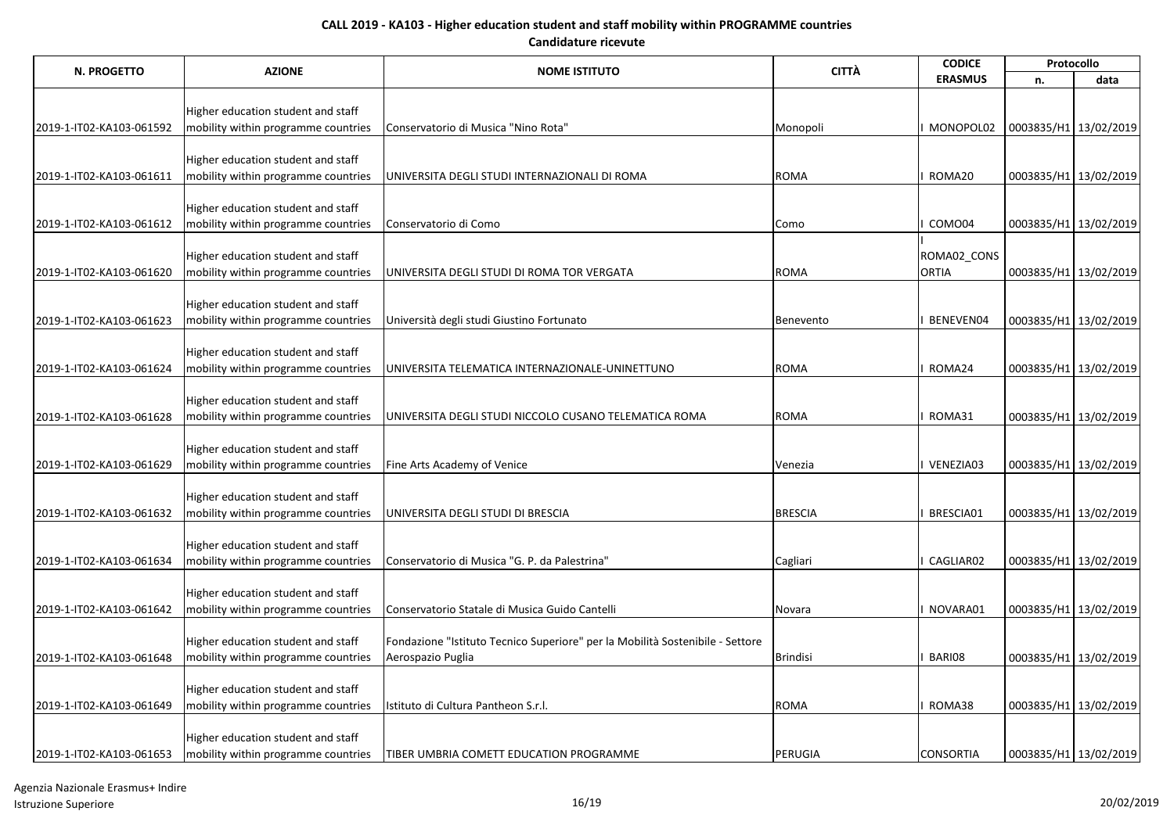| N. PROGETTO              | <b>AZIONE</b>                       | <b>NOME ISTITUTO</b>                                                          | <b>CITTÀ</b>    | <b>CODICE</b>    | Protocollo            |                       |
|--------------------------|-------------------------------------|-------------------------------------------------------------------------------|-----------------|------------------|-----------------------|-----------------------|
|                          |                                     |                                                                               |                 | <b>ERASMUS</b>   | n.                    | data                  |
|                          |                                     |                                                                               |                 |                  |                       |                       |
|                          | Higher education student and staff  |                                                                               |                 |                  |                       |                       |
| 2019-1-IT02-KA103-061592 | mobility within programme countries | Conservatorio di Musica "Nino Rota"                                           | Monopoli        | MONOPOL02        | 0003835/H1 13/02/2019 |                       |
|                          | Higher education student and staff  |                                                                               |                 |                  |                       |                       |
| 2019-1-IT02-KA103-061611 | mobility within programme countries | UNIVERSITA DEGLI STUDI INTERNAZIONALI DI ROMA                                 | <b>ROMA</b>     | ROMA20           | 0003835/H1 13/02/2019 |                       |
|                          |                                     |                                                                               |                 |                  |                       |                       |
|                          | Higher education student and staff  |                                                                               |                 |                  |                       |                       |
| 2019-1-IT02-KA103-061612 | mobility within programme countries | Conservatorio di Como                                                         | Como            | COMO04           | 0003835/H1 13/02/2019 |                       |
|                          |                                     |                                                                               |                 |                  |                       |                       |
|                          | Higher education student and staff  |                                                                               |                 | ROMA02_CONS      |                       |                       |
| 2019-1-IT02-KA103-061620 | mobility within programme countries | UNIVERSITA DEGLI STUDI DI ROMA TOR VERGATA                                    | <b>ROMA</b>     | <b>ORTIA</b>     | 0003835/H1 13/02/2019 |                       |
|                          |                                     |                                                                               |                 |                  |                       |                       |
|                          | Higher education student and staff  |                                                                               |                 |                  |                       |                       |
| 2019-1-IT02-KA103-061623 | mobility within programme countries | Università degli studi Giustino Fortunato                                     | Benevento       | BENEVEN04        | 0003835/H1 13/02/2019 |                       |
|                          | Higher education student and staff  |                                                                               |                 |                  |                       |                       |
| 2019-1-IT02-KA103-061624 | mobility within programme countries | UNIVERSITA TELEMATICA INTERNAZIONALE-UNINETTUNO                               | <b>ROMA</b>     | ROMA24           | 0003835/H1 13/02/2019 |                       |
|                          |                                     |                                                                               |                 |                  |                       |                       |
|                          | Higher education student and staff  |                                                                               |                 |                  |                       |                       |
| 2019-1-IT02-KA103-061628 | mobility within programme countries | UNIVERSITA DEGLI STUDI NICCOLO CUSANO TELEMATICA ROMA                         | <b>ROMA</b>     | ROMA31           | 0003835/H1 13/02/2019 |                       |
|                          |                                     |                                                                               |                 |                  |                       |                       |
|                          | Higher education student and staff  |                                                                               |                 |                  |                       |                       |
| 2019-1-IT02-KA103-061629 | mobility within programme countries | Fine Arts Academy of Venice                                                   | Venezia         | VENEZIA03        | 0003835/H1 13/02/2019 |                       |
|                          |                                     |                                                                               |                 |                  |                       |                       |
| 2019-1-IT02-KA103-061632 | Higher education student and staff  | UNIVERSITA DEGLI STUDI DI BRESCIA                                             | <b>BRESCIA</b>  | BRESCIA01        |                       |                       |
|                          | mobility within programme countries |                                                                               |                 |                  | 0003835/H1 13/02/2019 |                       |
|                          | Higher education student and staff  |                                                                               |                 |                  |                       |                       |
| 2019-1-IT02-KA103-061634 | mobility within programme countries | Conservatorio di Musica "G. P. da Palestrina"                                 | Cagliari        | CAGLIAR02        | 0003835/H1 13/02/2019 |                       |
|                          |                                     |                                                                               |                 |                  |                       |                       |
|                          | Higher education student and staff  |                                                                               |                 |                  |                       |                       |
| 2019-1-IT02-KA103-061642 | mobility within programme countries | Conservatorio Statale di Musica Guido Cantelli                                | Novara          | NOVARA01         | 0003835/H1 13/02/2019 |                       |
|                          |                                     |                                                                               |                 |                  |                       |                       |
|                          | Higher education student and staff  | Fondazione "Istituto Tecnico Superiore" per la Mobilità Sostenibile - Settore |                 |                  |                       |                       |
| 2019-1-IT02-KA103-061648 | mobility within programme countries | Aerospazio Puglia                                                             | <b>Brindisi</b> | BARI08           | 0003835/H1 13/02/2019 |                       |
|                          | Higher education student and staff  |                                                                               |                 |                  |                       |                       |
| 2019-1-IT02-KA103-061649 | mobility within programme countries | Istituto di Cultura Pantheon S.r.l.                                           | <b>ROMA</b>     | ROMA38           | 0003835/H1 13/02/2019 |                       |
|                          |                                     |                                                                               |                 |                  |                       |                       |
|                          | Higher education student and staff  |                                                                               |                 |                  |                       |                       |
| 2019-1-IT02-KA103-061653 | mobility within programme countries | TIBER UMBRIA COMETT EDUCATION PROGRAMME                                       | PERUGIA         | <b>CONSORTIA</b> |                       | 0003835/H1 13/02/2019 |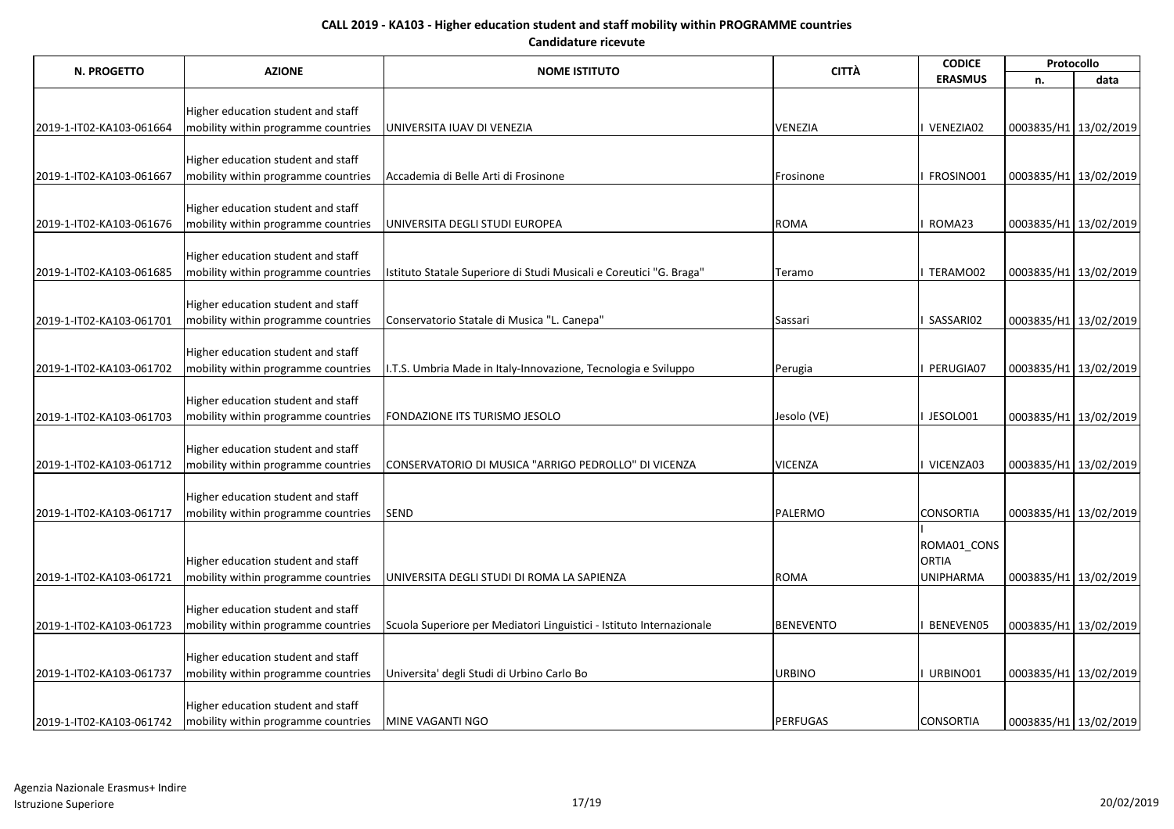|                          | <b>AZIONE</b>                                                             | <b>NOME ISTITUTO</b>                                                 | <b>CITTÀ</b>     | <b>CODICE</b>               | Protocollo            |                       |
|--------------------------|---------------------------------------------------------------------------|----------------------------------------------------------------------|------------------|-----------------------------|-----------------------|-----------------------|
| N. PROGETTO              |                                                                           |                                                                      |                  | <b>ERASMUS</b>              | n.                    | data                  |
|                          |                                                                           |                                                                      |                  |                             |                       |                       |
|                          | Higher education student and staff                                        |                                                                      |                  |                             |                       |                       |
| 2019-1-IT02-KA103-061664 | mobility within programme countries                                       | UNIVERSITA IUAV DI VENEZIA                                           | VENEZIA          | I VENEZIA02                 | 0003835/H1 13/02/2019 |                       |
|                          | Higher education student and staff                                        |                                                                      |                  |                             |                       |                       |
| 2019-1-IT02-KA103-061667 | mobility within programme countries                                       | Accademia di Belle Arti di Frosinone                                 | Frosinone        | I FROSINO01                 | 0003835/H1 13/02/2019 |                       |
|                          |                                                                           |                                                                      |                  |                             |                       |                       |
|                          | Higher education student and staff                                        |                                                                      |                  |                             |                       |                       |
| 2019-1-IT02-KA103-061676 | mobility within programme countries                                       | UNIVERSITA DEGLI STUDI EUROPEA                                       | <b>ROMA</b>      | ROMA23                      | 0003835/H1 13/02/2019 |                       |
|                          |                                                                           |                                                                      |                  |                             |                       |                       |
|                          | Higher education student and staff                                        |                                                                      |                  |                             |                       |                       |
| 2019-1-IT02-KA103-061685 | mobility within programme countries                                       | Istituto Statale Superiore di Studi Musicali e Coreutici "G. Braga"  | Teramo           | TERAMO02                    | 0003835/H1 13/02/2019 |                       |
|                          | Higher education student and staff                                        |                                                                      |                  |                             |                       |                       |
| 2019-1-IT02-KA103-061701 | mobility within programme countries                                       | Conservatorio Statale di Musica "L. Canepa"                          | Sassari          | SASSARI02                   | 0003835/H1 13/02/2019 |                       |
|                          |                                                                           |                                                                      |                  |                             |                       |                       |
|                          | Higher education student and staff                                        |                                                                      |                  |                             |                       |                       |
| 2019-1-IT02-KA103-061702 | mobility within programme countries                                       | I.T.S. Umbria Made in Italy-Innovazione, Tecnologia e Sviluppo       | Perugia          | PERUGIA07                   | 0003835/H1 13/02/2019 |                       |
|                          |                                                                           |                                                                      |                  |                             |                       |                       |
|                          | Higher education student and staff                                        |                                                                      |                  |                             |                       |                       |
| 2019-1-IT02-KA103-061703 | mobility within programme countries                                       | <b>FONDAZIONE ITS TURISMO JESOLO</b>                                 | Jesolo (VE)      | JESOLO01                    | 0003835/H1 13/02/2019 |                       |
|                          | Higher education student and staff                                        |                                                                      |                  |                             |                       |                       |
| 2019-1-IT02-KA103-061712 | mobility within programme countries                                       | CONSERVATORIO DI MUSICA "ARRIGO PEDROLLO" DI VICENZA                 | <b>VICENZA</b>   | I VICENZA03                 | 0003835/H1 13/02/2019 |                       |
|                          |                                                                           |                                                                      |                  |                             |                       |                       |
|                          | Higher education student and staff                                        |                                                                      |                  |                             |                       |                       |
| 2019-1-IT02-KA103-061717 | mobility within programme countries                                       | SEND                                                                 | PALERMO          | <b>CONSORTIA</b>            | 0003835/H1 13/02/2019 |                       |
|                          |                                                                           |                                                                      |                  |                             |                       |                       |
|                          |                                                                           |                                                                      |                  | ROMA01_CONS<br><b>ORTIA</b> |                       |                       |
| 2019-1-IT02-KA103-061721 | Higher education student and staff<br>mobility within programme countries | UNIVERSITA DEGLI STUDI DI ROMA LA SAPIENZA                           | <b>ROMA</b>      | <b>UNIPHARMA</b>            | 0003835/H1 13/02/2019 |                       |
|                          |                                                                           |                                                                      |                  |                             |                       |                       |
|                          | Higher education student and staff                                        |                                                                      |                  |                             |                       |                       |
| 2019-1-IT02-KA103-061723 | mobility within programme countries                                       | Scuola Superiore per Mediatori Linguistici - Istituto Internazionale | <b>BENEVENTO</b> | BENEVEN05                   | 0003835/H1 13/02/2019 |                       |
|                          |                                                                           |                                                                      |                  |                             |                       |                       |
|                          | Higher education student and staff                                        |                                                                      |                  |                             |                       |                       |
| 2019-1-IT02-KA103-061737 | mobility within programme countries                                       | Universita' degli Studi di Urbino Carlo Bo                           | <b>URBINO</b>    | URBINO01                    | 0003835/H1 13/02/2019 |                       |
|                          | Higher education student and staff                                        |                                                                      |                  |                             |                       |                       |
| 2019-1-IT02-KA103-061742 | mobility within programme countries                                       | MINE VAGANTI NGO                                                     | PERFUGAS         | <b>CONSORTIA</b>            |                       | 0003835/H1 13/02/2019 |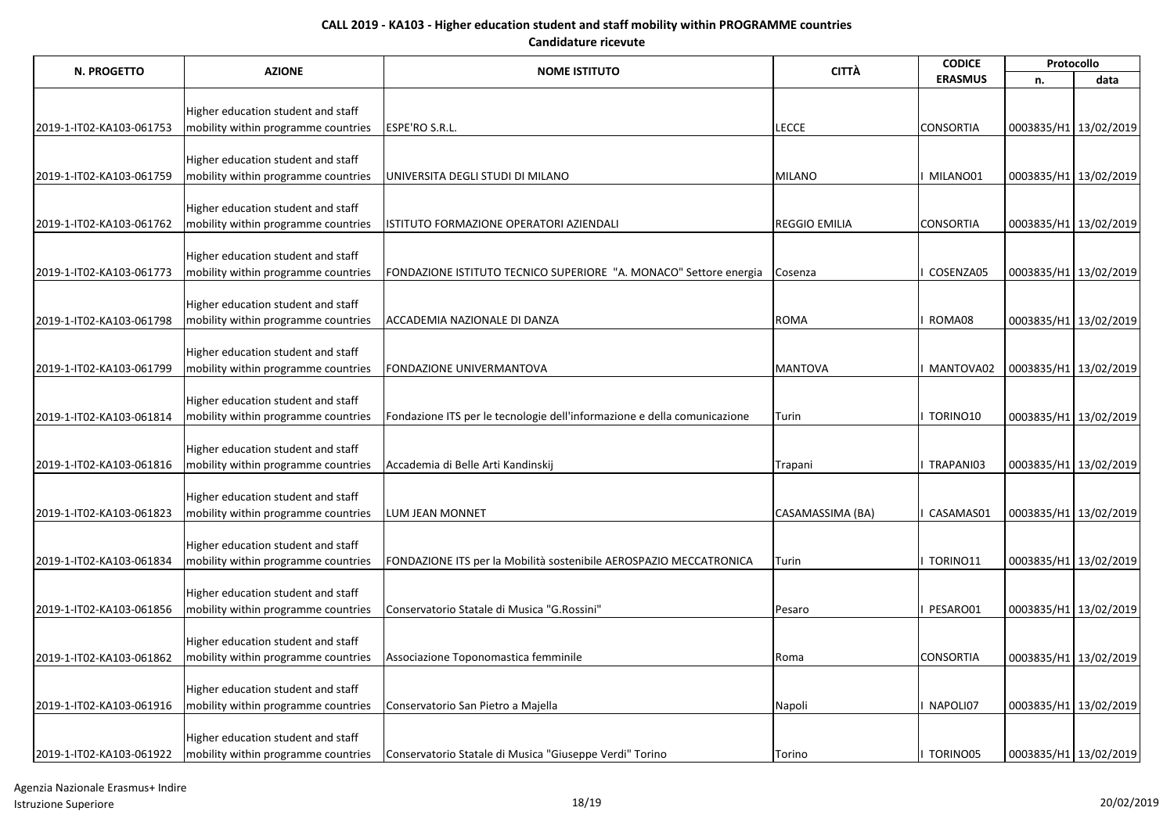| N. PROGETTO              | <b>AZIONE</b><br><b>NOME ISTITUTO</b>                                     | <b>CITTÀ</b>                                                             | <b>CODICE</b>        | Protocollo       |                       |                       |
|--------------------------|---------------------------------------------------------------------------|--------------------------------------------------------------------------|----------------------|------------------|-----------------------|-----------------------|
|                          |                                                                           |                                                                          |                      | <b>ERASMUS</b>   | n.                    | data                  |
|                          |                                                                           |                                                                          |                      |                  |                       |                       |
|                          | Higher education student and staff                                        |                                                                          |                      |                  |                       |                       |
| 2019-1-IT02-KA103-061753 | mobility within programme countries                                       | ESPE'RO S.R.L.                                                           | <b>LECCE</b>         | <b>CONSORTIA</b> | 0003835/H1 13/02/2019 |                       |
|                          | Higher education student and staff                                        |                                                                          |                      |                  |                       |                       |
| 2019-1-IT02-KA103-061759 | mobility within programme countries                                       | UNIVERSITA DEGLI STUDI DI MILANO                                         | <b>MILANO</b>        | MILANO01         | 0003835/H1 13/02/2019 |                       |
|                          |                                                                           |                                                                          |                      |                  |                       |                       |
|                          | Higher education student and staff                                        |                                                                          |                      |                  |                       |                       |
| 2019-1-IT02-KA103-061762 | mobility within programme countries                                       | ISTITUTO FORMAZIONE OPERATORI AZIENDALI                                  | <b>REGGIO EMILIA</b> | <b>CONSORTIA</b> | 0003835/H1 13/02/2019 |                       |
|                          |                                                                           |                                                                          |                      |                  |                       |                       |
|                          | Higher education student and staff                                        |                                                                          |                      |                  |                       |                       |
| 2019-1-IT02-KA103-061773 | mobility within programme countries                                       | FONDAZIONE ISTITUTO TECNICO SUPERIORE "A. MONACO" Settore energia        | Cosenza              | COSENZA05        | 0003835/H1 13/02/2019 |                       |
|                          |                                                                           |                                                                          |                      |                  |                       |                       |
| 2019-1-IT02-KA103-061798 | Higher education student and staff<br>mobility within programme countries | ACCADEMIA NAZIONALE DI DANZA                                             | <b>ROMA</b>          | ROMA08           | 0003835/H1 13/02/2019 |                       |
|                          |                                                                           |                                                                          |                      |                  |                       |                       |
|                          | Higher education student and staff                                        |                                                                          |                      |                  |                       |                       |
| 2019-1-IT02-KA103-061799 | mobility within programme countries                                       | FONDAZIONE UNIVERMANTOVA                                                 | <b>MANTOVA</b>       | MANTOVA02        | 0003835/H1 13/02/2019 |                       |
|                          |                                                                           |                                                                          |                      |                  |                       |                       |
|                          | Higher education student and staff                                        |                                                                          |                      |                  |                       |                       |
| 2019-1-IT02-KA103-061814 | mobility within programme countries                                       | Fondazione ITS per le tecnologie dell'informazione e della comunicazione | Turin                | TORINO10         | 0003835/H1 13/02/2019 |                       |
|                          |                                                                           |                                                                          |                      |                  |                       |                       |
|                          | Higher education student and staff                                        |                                                                          |                      |                  |                       |                       |
| 2019-1-IT02-KA103-061816 | mobility within programme countries                                       | Accademia di Belle Arti Kandinskij                                       | Trapani              | TRAPANI03        | 0003835/H1 13/02/2019 |                       |
|                          | Higher education student and staff                                        |                                                                          |                      |                  |                       |                       |
| 2019-1-IT02-KA103-061823 | mobility within programme countries                                       | <b>LUM JEAN MONNET</b>                                                   | CASAMASSIMA (BA)     | CASAMAS01        | 0003835/H1 13/02/2019 |                       |
|                          |                                                                           |                                                                          |                      |                  |                       |                       |
|                          | Higher education student and staff                                        |                                                                          |                      |                  |                       |                       |
| 2019-1-IT02-KA103-061834 | mobility within programme countries                                       | FONDAZIONE ITS per la Mobilità sostenibile AEROSPAZIO MECCATRONICA       | Turin                | TORINO11         | 0003835/H1 13/02/2019 |                       |
|                          |                                                                           |                                                                          |                      |                  |                       |                       |
|                          | Higher education student and staff                                        |                                                                          |                      |                  |                       |                       |
| 2019-1-IT02-KA103-061856 | mobility within programme countries                                       | Conservatorio Statale di Musica "G.Rossini"                              | Pesaro               | PESARO01         | 0003835/H1 13/02/2019 |                       |
|                          |                                                                           |                                                                          |                      |                  |                       |                       |
|                          | Higher education student and staff                                        |                                                                          |                      |                  |                       |                       |
| 2019-1-IT02-KA103-061862 | mobility within programme countries                                       | Associazione Toponomastica femminile                                     | Roma                 | <b>CONSORTIA</b> | 0003835/H1 13/02/2019 |                       |
|                          | Higher education student and staff                                        |                                                                          |                      |                  |                       |                       |
| 2019-1-IT02-KA103-061916 | mobility within programme countries                                       | Conservatorio San Pietro a Majella                                       | Napoli               | NAPOLI07         | 0003835/H1 13/02/2019 |                       |
|                          |                                                                           |                                                                          |                      |                  |                       |                       |
|                          | Higher education student and staff                                        |                                                                          |                      |                  |                       |                       |
| 2019-1-IT02-KA103-061922 | mobility within programme countries                                       | Conservatorio Statale di Musica "Giuseppe Verdi" Torino                  | Torino               | TORINO05         |                       | 0003835/H1 13/02/2019 |

Agenzia Nazionale Erasmus+ Indire Istruzione Superiore 18/19 20/02/2019